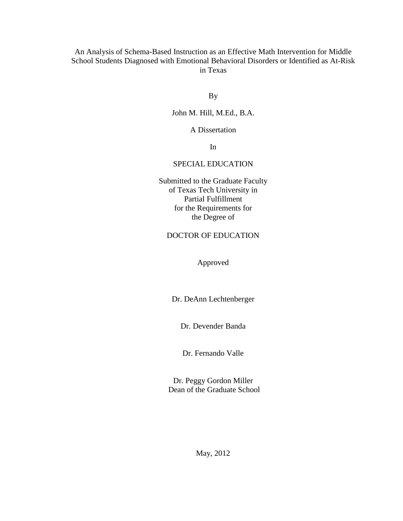# An Analysis of Schema-Based Instruction as an Effective Math Intervention for Middle School Students Diagnosed with Emotional Behavioral Disorders or Identified as At-Risk in Texas

By

# John M. Hill, M.Ed., B.A.

A Dissertation

In

# SPECIAL EDUCATION

Submitted to the Graduate Faculty of Texas Tech University in Partial Fulfillment for the Requirements for the Degree of

# DOCTOR OF EDUCATION

Approved

Dr. DeAnn Lechtenberger

Dr. Devender Banda

Dr. Fernando Valle

Dr. Peggy Gordon Miller Dean of the Graduate School

May, 2012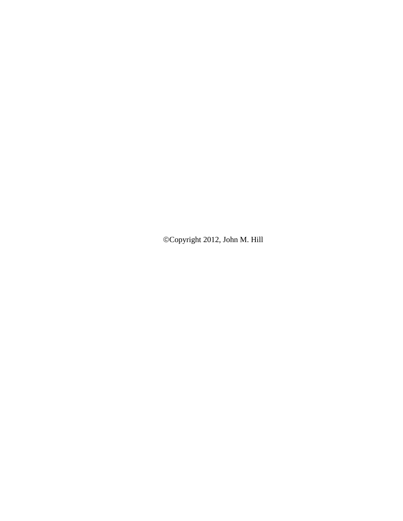Copyright 2012, John M. Hill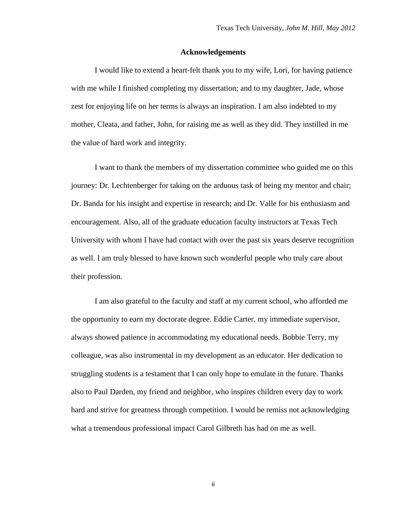#### **Acknowledgements**

<span id="page-2-0"></span>I would like to extend a heart-felt thank you to my wife, Lori, for having patience with me while I finished completing my dissertation; and to my daughter, Jade, whose zest for enjoying life on her terms is always an inspiration. I am also indebted to my mother, Cleata, and father, John, for raising me as well as they did. They instilled in me the value of hard work and integrity.

I want to thank the members of my dissertation committee who guided me on this journey: Dr. Lechtenberger for taking on the arduous task of being my mentor and chair; Dr. Banda for his insight and expertise in research; and Dr. Valle for his enthusiasm and encouragement. Also, all of the graduate education faculty instructors at Texas Tech University with whom I have had contact with over the past six years deserve recognition as well. I am truly blessed to have known such wonderful people who truly care about their profession.

I am also grateful to the faculty and staff at my current school, who afforded me the opportunity to earn my doctorate degree. Eddie Carter, my immediate supervisor, always showed patience in accommodating my educational needs. Bobbie Terry, my colleague, was also instrumental in my development as an educator. Her dedication to struggling students is a testament that I can only hope to emulate in the future. Thanks also to Paul Darden, my friend and neighbor, who inspires children every day to work hard and strive for greatness through competition. I would be remiss not acknowledging what a tremendous professional impact Carol Gilbreth has had on me as well.

ii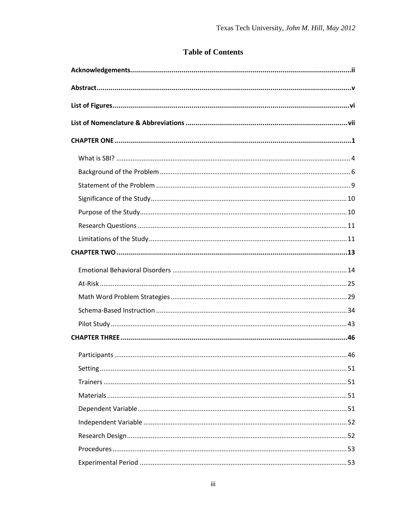# **Table of Contents**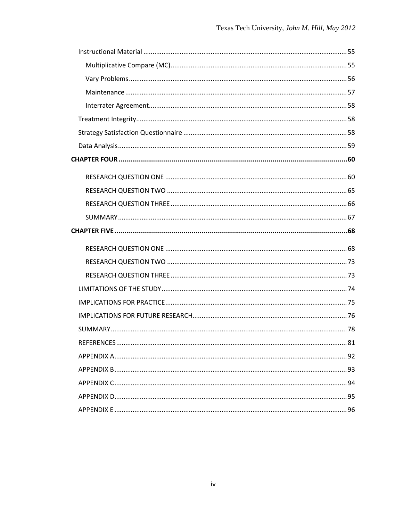| .81 |
|-----|
|     |
|     |
|     |
|     |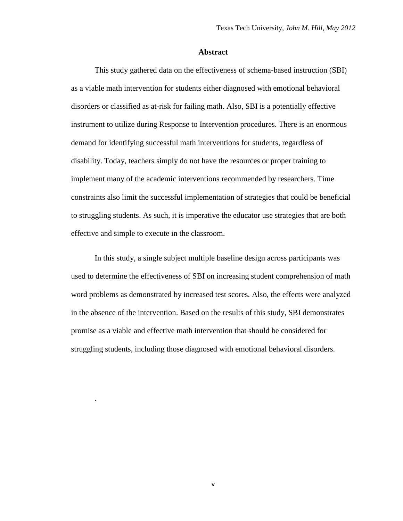#### **Abstract**

<span id="page-5-0"></span>This study gathered data on the effectiveness of schema-based instruction (SBI) as a viable math intervention for students either diagnosed with emotional behavioral disorders or classified as at-risk for failing math. Also, SBI is a potentially effective instrument to utilize during Response to Intervention procedures. There is an enormous demand for identifying successful math interventions for students, regardless of disability. Today, teachers simply do not have the resources or proper training to implement many of the academic interventions recommended by researchers. Time constraints also limit the successful implementation of strategies that could be beneficial to struggling students. As such, it is imperative the educator use strategies that are both effective and simple to execute in the classroom.

In this study, a single subject multiple baseline design across participants was used to determine the effectiveness of SBI on increasing student comprehension of math word problems as demonstrated by increased test scores. Also, the effects were analyzed in the absence of the intervention. Based on the results of this study, SBI demonstrates promise as a viable and effective math intervention that should be considered for struggling students, including those diagnosed with emotional behavioral disorders.

v

.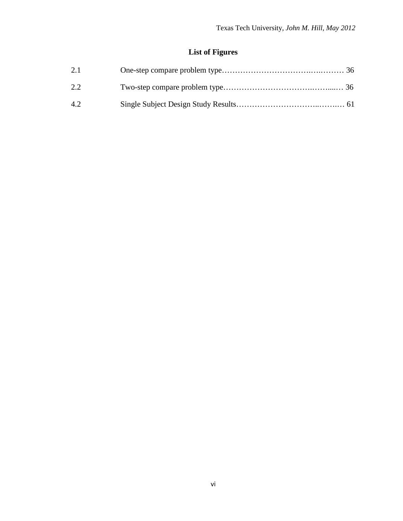# **List of Figures**

<span id="page-6-0"></span>

| 2.1 |  |
|-----|--|
| 2.2 |  |
| 4.2 |  |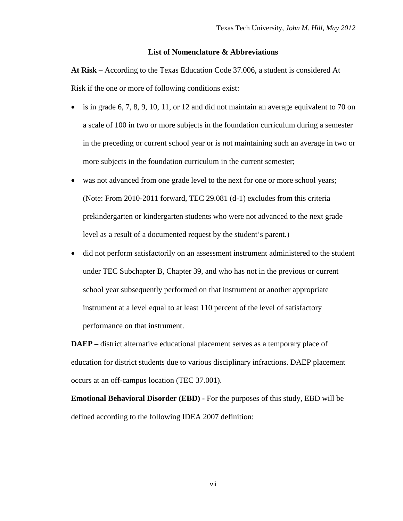# **List of Nomenclature & Abbreviations**

<span id="page-7-0"></span>**At Risk –** According to the Texas Education Code 37.006, a student is considered At Risk if the one or more of following conditions exist:

- is in grade 6, 7, 8, 9, 10, 11, or 12 and did not maintain an average equivalent to 70 on a scale of 100 in two or more subjects in the foundation curriculum during a semester in the preceding or current school year or is not maintaining such an average in two or more subjects in the foundation curriculum in the current semester;
- was not advanced from one grade level to the next for one or more school years; (Note: From 2010-2011 forward, TEC 29.081 (d-1) excludes from this criteria prekindergarten or kindergarten students who were not advanced to the next grade level as a result of a documented request by the student's parent.)
- did not perform satisfactorily on an assessment instrument administered to the student under TEC Subchapter B, Chapter 39, and who has not in the previous or current school year subsequently performed on that instrument or another appropriate instrument at a level equal to at least 110 percent of the level of satisfactory performance on that instrument.

**DAEP** – district alternative educational placement serves as a temporary place of education for district students due to various disciplinary infractions. DAEP placement occurs at an off-campus location (TEC 37.001).

**Emotional Behavioral Disorder (EBD) -** For the purposes of this study, EBD will be defined according to the following IDEA 2007 definition: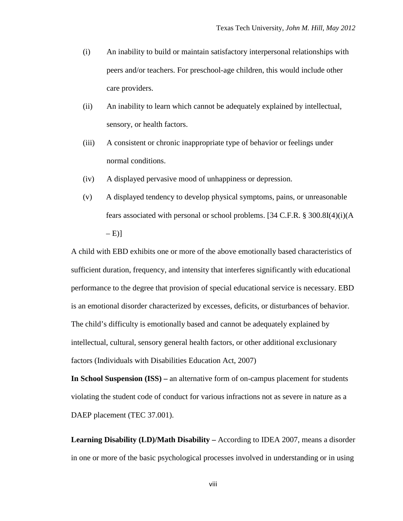- (i) An inability to build or maintain satisfactory interpersonal relationships with peers and/or teachers. For preschool-age children, this would include other care providers.
- (ii) An inability to learn which cannot be adequately explained by intellectual, sensory, or health factors.
- (iii) A consistent or chronic inappropriate type of behavior or feelings under normal conditions.
- (iv) A displayed pervasive mood of unhappiness or depression.
- (v) A displayed tendency to develop physical symptoms, pains, or unreasonable fears associated with personal or school problems. [34 C.F.R. § 300.8I(4)(i)(A  $-E$ )]

A child with EBD exhibits one or more of the above emotionally based characteristics of sufficient duration, frequency, and intensity that interferes significantly with educational performance to the degree that provision of special educational service is necessary. EBD is an emotional disorder characterized by excesses, deficits, or disturbances of behavior. The child's difficulty is emotionally based and cannot be adequately explained by intellectual, cultural, sensory general health factors, or other additional exclusionary factors (Individuals with Disabilities Education Act, 2007)

**In School Suspension (ISS) –** an alternative form of on-campus placement for students violating the student code of conduct for various infractions not as severe in nature as a DAEP placement (TEC 37.001).

**Learning Disability (LD)/Math Disability –** According to IDEA 2007, means a disorder in one or more of the basic psychological processes involved in understanding or in using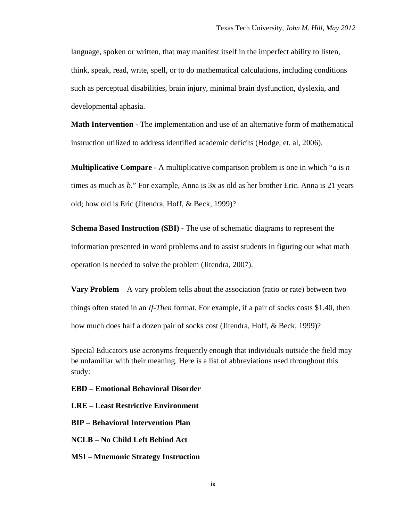language, spoken or written, that may manifest itself in the imperfect ability to listen, think, speak, read, write, spell, or to do mathematical calculations, including conditions such as perceptual disabilities, brain injury, minimal brain dysfunction, dyslexia, and developmental aphasia.

**Math Intervention -** The implementation and use of an alternative form of mathematical instruction utilized to address identified academic deficits (Hodge, et. al, 2006).

**Multiplicative Compare** - A multiplicative comparison problem is one in which "*a* is *n*  times as much as *b*." For example, Anna is 3x as old as her brother Eric. Anna is 21 years old; how old is Eric (Jitendra, Hoff, & Beck, 1999)?

**Schema Based Instruction (SBI) -** The use of schematic diagrams to represent the information presented in word problems and to assist students in figuring out what math operation is needed to solve the problem (Jitendra, 2007).

**Vary Problem** – A vary problem tells about the association (ratio or rate) between two things often stated in an *If-Then* format. For example, if a pair of socks costs \$1.40, then how much does half a dozen pair of socks cost (Jitendra, Hoff, & Beck, 1999)?

Special Educators use acronyms frequently enough that individuals outside the field may be unfamiliar with their meaning. Here is a list of abbreviations used throughout this study:

**EBD – Emotional Behavioral Disorder**

**LRE – Least Restrictive Environment**

**BIP – Behavioral Intervention Plan**

**NCLB – No Child Left Behind Act**

**MSI – Mnemonic Strategy Instruction**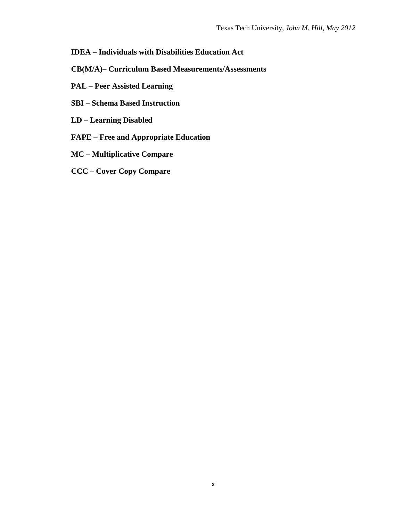# **IDEA – Individuals with Disabilities Education Act**

- **CB(M/A)– Curriculum Based Measurements/Assessments**
- **PAL – Peer Assisted Learning**
- **SBI – Schema Based Instruction**
- **LD – Learning Disabled**
- **FAPE – Free and Appropriate Education**
- **MC – Multiplicative Compare**
- **CCC – Cover Copy Compare**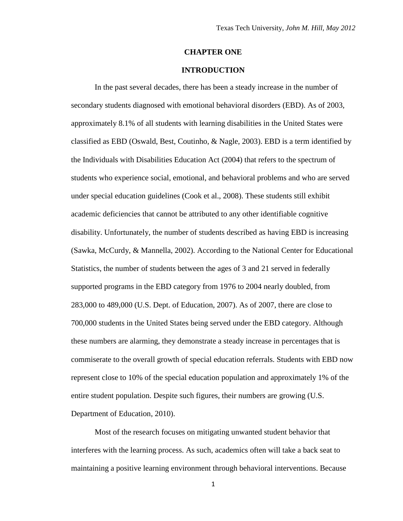## **CHAPTER ONE**

# **INTRODUCTION**

<span id="page-11-0"></span>In the past several decades, there has been a steady increase in the number of secondary students diagnosed with emotional behavioral disorders (EBD). As of 2003, approximately 8.1% of all students with learning disabilities in the United States were classified as EBD (Oswald, Best, Coutinho, & Nagle, 2003). EBD is a term identified by the Individuals with Disabilities Education Act (2004) that refers to the spectrum of students who experience social, emotional, and behavioral problems and who are served under special education guidelines (Cook et al., 2008). These students still exhibit academic deficiencies that cannot be attributed to any other identifiable cognitive disability. Unfortunately, the number of students described as having EBD is increasing (Sawka, McCurdy, & Mannella, 2002). According to the National Center for Educational Statistics, the number of students between the ages of 3 and 21 served in federally supported programs in the EBD category from 1976 to 2004 nearly doubled, from 283,000 to 489,000 (U.S. Dept. of Education, 2007). As of 2007, there are close to 700,000 students in the United States being served under the EBD category. Although these numbers are alarming, they demonstrate a steady increase in percentages that is commiserate to the overall growth of special education referrals. Students with EBD now represent close to 10% of the special education population and approximately 1% of the entire student population. Despite such figures, their numbers are growing (U.S. Department of Education, 2010).

Most of the research focuses on mitigating unwanted student behavior that interferes with the learning process. As such, academics often will take a back seat to maintaining a positive learning environment through behavioral interventions. Because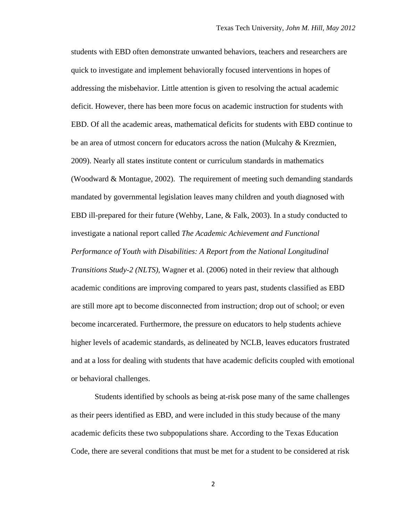students with EBD often demonstrate unwanted behaviors, teachers and researchers are quick to investigate and implement behaviorally focused interventions in hopes of addressing the misbehavior. Little attention is given to resolving the actual academic deficit. However, there has been more focus on academic instruction for students with EBD. Of all the academic areas, mathematical deficits for students with EBD continue to be an area of utmost concern for educators across the nation (Mulcahy & Krezmien, 2009). Nearly all states institute content or curriculum standards in mathematics (Woodward & Montague, 2002). The requirement of meeting such demanding standards mandated by governmental legislation leaves many children and youth diagnosed with EBD ill-prepared for their future (Wehby, Lane, & Falk, 2003). In a study conducted to investigate a national report called *The Academic Achievement and Functional Performance of Youth with Disabilities: A Report from the National Longitudinal Transitions Study-2 (NLTS)*, Wagner et al. (2006) noted in their review that although academic conditions are improving compared to years past, students classified as EBD are still more apt to become disconnected from instruction; drop out of school; or even become incarcerated. Furthermore, the pressure on educators to help students achieve higher levels of academic standards, as delineated by NCLB, leaves educators frustrated and at a loss for dealing with students that have academic deficits coupled with emotional or behavioral challenges.

Students identified by schools as being at-risk pose many of the same challenges as their peers identified as EBD, and were included in this study because of the many academic deficits these two subpopulations share. According to the Texas Education Code, there are several conditions that must be met for a student to be considered at risk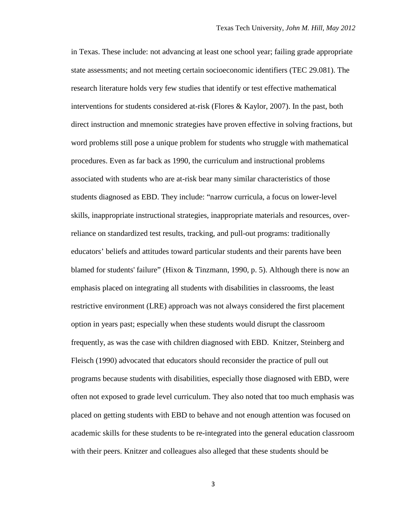in Texas. These include: not advancing at least one school year; failing grade appropriate state assessments; and not meeting certain socioeconomic identifiers (TEC 29.081). The research literature holds very few studies that identify or test effective mathematical interventions for students considered at-risk (Flores & Kaylor, 2007). In the past, both direct instruction and mnemonic strategies have proven effective in solving fractions, but word problems still pose a unique problem for students who struggle with mathematical procedures. Even as far back as 1990, the curriculum and instructional problems associated with students who are at-risk bear many similar characteristics of those students diagnosed as EBD. They include: "narrow curricula, a focus on lower-level skills, inappropriate instructional strategies, inappropriate materials and resources, overreliance on standardized test results, tracking, and pull-out programs: traditionally educators' beliefs and attitudes toward particular students and their parents have been blamed for students' failure" (Hixon & Tinzmann, 1990, p. 5). Although there is now an emphasis placed on integrating all students with disabilities in classrooms, the least restrictive environment (LRE) approach was not always considered the first placement option in years past; especially when these students would disrupt the classroom frequently, as was the case with children diagnosed with EBD. Knitzer, Steinberg and Fleisch (1990) advocated that educators should reconsider the practice of pull out programs because students with disabilities, especially those diagnosed with EBD, were often not exposed to grade level curriculum. They also noted that too much emphasis was placed on getting students with EBD to behave and not enough attention was focused on academic skills for these students to be re-integrated into the general education classroom with their peers. Knitzer and colleagues also alleged that these students should be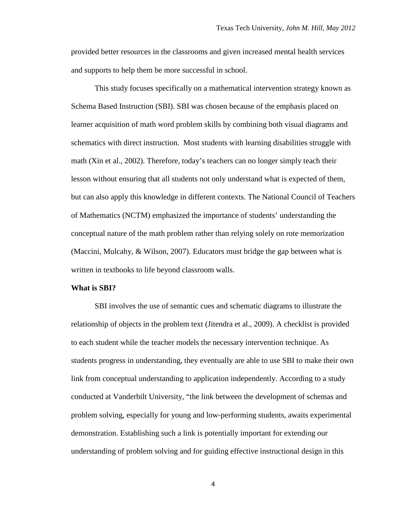provided better resources in the classrooms and given increased mental health services and supports to help them be more successful in school.

This study focuses specifically on a mathematical intervention strategy known as Schema Based Instruction (SBI). SBI was chosen because of the emphasis placed on learner acquisition of math word problem skills by combining both visual diagrams and schematics with direct instruction. Most students with learning disabilities struggle with math (Xin et al., 2002). Therefore, today's teachers can no longer simply teach their lesson without ensuring that all students not only understand what is expected of them, but can also apply this knowledge in different contexts. The National Council of Teachers of Mathematics (NCTM) emphasized the importance of students' understanding the conceptual nature of the math problem rather than relying solely on rote memorization (Maccini, Mulcahy, & Wilson, 2007). Educators must bridge the gap between what is written in textbooks to life beyond classroom walls.

#### <span id="page-14-0"></span>**What is SBI?**

SBI involves the use of semantic cues and schematic diagrams to illustrate the relationship of objects in the problem text (Jitendra et al., 2009). A checklist is provided to each student while the teacher models the necessary intervention technique. As students progress in understanding, they eventually are able to use SBI to make their own link from conceptual understanding to application independently. According to a study conducted at Vanderbilt University, "the link between the development of schemas and problem solving, especially for young and low-performing students, awaits experimental demonstration. Establishing such a link is potentially important for extending our understanding of problem solving and for guiding effective instructional design in this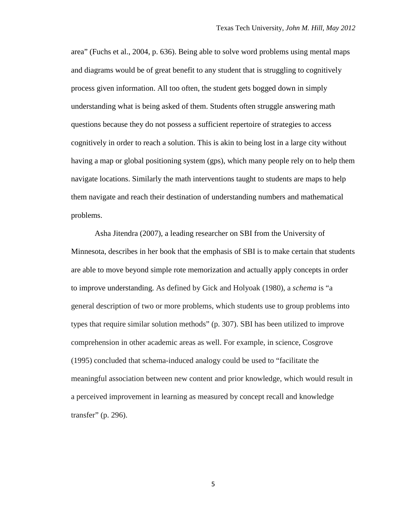area" (Fuchs et al., 2004, p. 636). Being able to solve word problems using mental maps and diagrams would be of great benefit to any student that is struggling to cognitively process given information. All too often, the student gets bogged down in simply understanding what is being asked of them. Students often struggle answering math questions because they do not possess a sufficient repertoire of strategies to access cognitively in order to reach a solution. This is akin to being lost in a large city without having a map or global positioning system (gps), which many people rely on to help them navigate locations. Similarly the math interventions taught to students are maps to help them navigate and reach their destination of understanding numbers and mathematical problems.

Asha Jitendra (2007), a leading researcher on SBI from the University of Minnesota, describes in her book that the emphasis of SBI is to make certain that students are able to move beyond simple rote memorization and actually apply concepts in order to improve understanding. As defined by Gick and Holyoak (1980), a *schema* is "a general description of two or more problems, which students use to group problems into types that require similar solution methods" (p. 307). SBI has been utilized to improve comprehension in other academic areas as well. For example, in science, Cosgrove (1995) concluded that schema-induced analogy could be used to "facilitate the meaningful association between new content and prior knowledge, which would result in a perceived improvement in learning as measured by concept recall and knowledge transfer" (p. 296).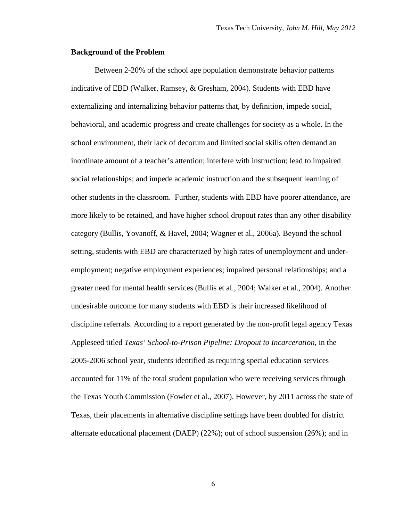## <span id="page-16-0"></span>**Background of the Problem**

Between 2-20% of the school age population demonstrate behavior patterns indicative of EBD (Walker, Ramsey, & Gresham, 2004). Students with EBD have externalizing and internalizing behavior patterns that, by definition, impede social, behavioral, and academic progress and create challenges for society as a whole. In the school environment, their lack of decorum and limited social skills often demand an inordinate amount of a teacher's attention; interfere with instruction; lead to impaired social relationships; and impede academic instruction and the subsequent learning of other students in the classroom. Further, students with EBD have poorer attendance, are more likely to be retained, and have higher school dropout rates than any other disability category (Bullis, Yovanoff, & Havel, 2004; Wagner et al., 2006a). Beyond the school setting, students with EBD are characterized by high rates of unemployment and underemployment; negative employment experiences; impaired personal relationships; and a greater need for mental health services (Bullis et al., 2004; Walker et al., 2004). Another undesirable outcome for many students with EBD is their increased likelihood of discipline referrals. According to a report generated by the non-profit legal agency Texas Appleseed titled *Texas' School-to-Prison Pipeline: Dropout to Incarceration,* in the 2005-2006 school year, students identified as requiring special education services accounted for 11% of the total student population who were receiving services through the Texas Youth Commission (Fowler et al., 2007). However, by 2011 across the state of Texas, their placements in alternative discipline settings have been doubled for district alternate educational placement (DAEP) (22%); out of school suspension (26%); and in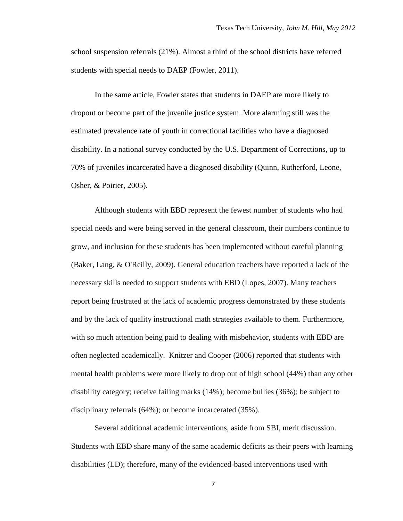school suspension referrals (21%). Almost a third of the school districts have referred students with special needs to DAEP (Fowler, 2011).

In the same article, Fowler states that students in DAEP are more likely to dropout or become part of the juvenile justice system. More alarming still was the estimated prevalence rate of youth in correctional facilities who have a diagnosed disability. In a national survey conducted by the U.S. Department of Corrections, up to 70% of juveniles incarcerated have a diagnosed disability (Quinn, Rutherford, Leone, Osher, & Poirier, 2005).

Although students with EBD represent the fewest number of students who had special needs and were being served in the general classroom, their numbers continue to grow, and inclusion for these students has been implemented without careful planning (Baker, Lang, & O'Reilly, 2009). General education teachers have reported a lack of the necessary skills needed to support students with EBD (Lopes, 2007). Many teachers report being frustrated at the lack of academic progress demonstrated by these students and by the lack of quality instructional math strategies available to them. Furthermore, with so much attention being paid to dealing with misbehavior, students with EBD are often neglected academically. Knitzer and Cooper (2006) reported that students with mental health problems were more likely to drop out of high school (44%) than any other disability category; receive failing marks (14%); become bullies (36%); be subject to disciplinary referrals (64%); or become incarcerated (35%).

Several additional academic interventions, aside from SBI, merit discussion. Students with EBD share many of the same academic deficits as their peers with learning disabilities (LD); therefore, many of the evidenced-based interventions used with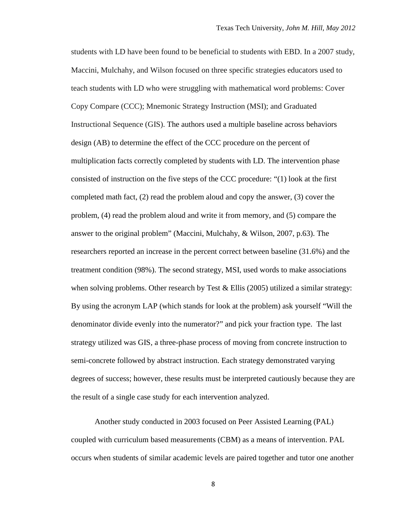students with LD have been found to be beneficial to students with EBD. In a 2007 study, Maccini, Mulchahy, and Wilson focused on three specific strategies educators used to teach students with LD who were struggling with mathematical word problems: Cover Copy Compare (CCC); Mnemonic Strategy Instruction (MSI); and Graduated Instructional Sequence (GIS). The authors used a multiple baseline across behaviors design (AB) to determine the effect of the CCC procedure on the percent of multiplication facts correctly completed by students with LD. The intervention phase consisted of instruction on the five steps of the CCC procedure: "(1) look at the first completed math fact, (2) read the problem aloud and copy the answer, (3) cover the problem, (4) read the problem aloud and write it from memory, and (5) compare the answer to the original problem" (Maccini, Mulchahy, & Wilson, 2007, p.63). The researchers reported an increase in the percent correct between baseline (31.6%) and the treatment condition (98%). The second strategy, MSI, used words to make associations when solving problems. Other research by Test & Ellis (2005) utilized a similar strategy: By using the acronym LAP (which stands for look at the problem) ask yourself "Will the denominator divide evenly into the numerator?" and pick your fraction type. The last strategy utilized was GIS, a three-phase process of moving from concrete instruction to semi-concrete followed by abstract instruction. Each strategy demonstrated varying degrees of success; however, these results must be interpreted cautiously because they are the result of a single case study for each intervention analyzed.

Another study conducted in 2003 focused on Peer Assisted Learning (PAL) coupled with curriculum based measurements (CBM) as a means of intervention. PAL occurs when students of similar academic levels are paired together and tutor one another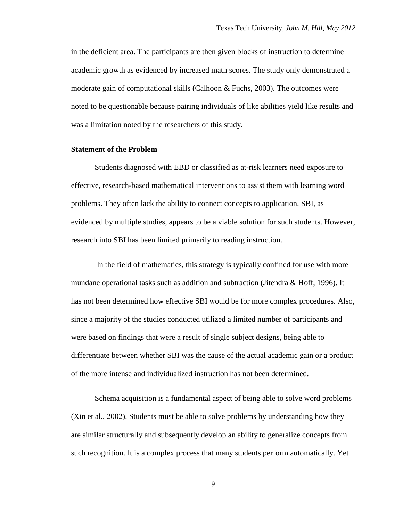in the deficient area. The participants are then given blocks of instruction to determine academic growth as evidenced by increased math scores. The study only demonstrated a moderate gain of computational skills (Calhoon & Fuchs, 2003). The outcomes were noted to be questionable because pairing individuals of like abilities yield like results and was a limitation noted by the researchers of this study.

#### <span id="page-19-0"></span>**Statement of the Problem**

Students diagnosed with EBD or classified as at-risk learners need exposure to effective, research-based mathematical interventions to assist them with learning word problems. They often lack the ability to connect concepts to application. SBI, as evidenced by multiple studies, appears to be a viable solution for such students. However, research into SBI has been limited primarily to reading instruction.

In the field of mathematics, this strategy is typically confined for use with more mundane operational tasks such as addition and subtraction (Jitendra & Hoff, 1996). It has not been determined how effective SBI would be for more complex procedures. Also, since a majority of the studies conducted utilized a limited number of participants and were based on findings that were a result of single subject designs, being able to differentiate between whether SBI was the cause of the actual academic gain or a product of the more intense and individualized instruction has not been determined.

 Schema acquisition is a fundamental aspect of being able to solve word problems (Xin et al., 2002). Students must be able to solve problems by understanding how they are similar structurally and subsequently develop an ability to generalize concepts from such recognition. It is a complex process that many students perform automatically. Yet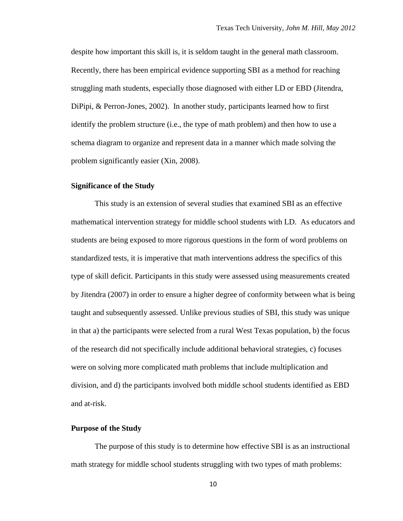despite how important this skill is, it is seldom taught in the general math classroom. Recently, there has been empirical evidence supporting SBI as a method for reaching struggling math students, especially those diagnosed with either LD or EBD (Jitendra, DiPipi, & Perron-Jones, 2002). In another study, participants learned how to first identify the problem structure (i.e., the type of math problem) and then how to use a schema diagram to organize and represent data in a manner which made solving the problem significantly easier (Xin, 2008).

## <span id="page-20-0"></span>**Significance of the Study**

This study is an extension of several studies that examined SBI as an effective mathematical intervention strategy for middle school students with LD. As educators and students are being exposed to more rigorous questions in the form of word problems on standardized tests, it is imperative that math interventions address the specifics of this type of skill deficit. Participants in this study were assessed using measurements created by Jitendra (2007) in order to ensure a higher degree of conformity between what is being taught and subsequently assessed. Unlike previous studies of SBI, this study was unique in that a) the participants were selected from a rural West Texas population, b) the focus of the research did not specifically include additional behavioral strategies, c) focuses were on solving more complicated math problems that include multiplication and division, and d) the participants involved both middle school students identified as EBD and at-risk.

### <span id="page-20-1"></span>**Purpose of the Study**

The purpose of this study is to determine how effective SBI is as an instructional math strategy for middle school students struggling with two types of math problems: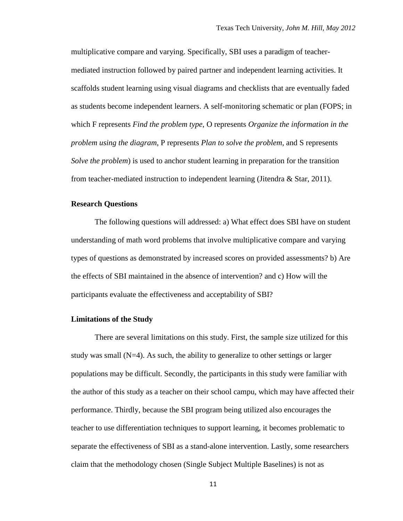multiplicative compare and varying. Specifically, SBI uses a paradigm of teachermediated instruction followed by paired partner and independent learning activities. It scaffolds student learning using visual diagrams and checklists that are eventually faded as students become independent learners. A self-monitoring schematic or plan (FOPS; in which F represents *Find the problem type*, O represents *Organize the information in the problem using the diagram*, P represents *Plan to solve the problem*, and S represents *Solve the problem*) is used to anchor student learning in preparation for the transition from teacher-mediated instruction to independent learning (Jitendra & Star, 2011).

## <span id="page-21-0"></span>**Research Questions**

The following questions will addressed: a) What effect does SBI have on student understanding of math word problems that involve multiplicative compare and varying types of questions as demonstrated by increased scores on provided assessments? b) Are the effects of SBI maintained in the absence of intervention? and c) How will the participants evaluate the effectiveness and acceptability of SBI?

#### <span id="page-21-1"></span>**Limitations of the Study**

There are several limitations on this study. First, the sample size utilized for this study was small  $(N=4)$ . As such, the ability to generalize to other settings or larger populations may be difficult. Secondly, the participants in this study were familiar with the author of this study as a teacher on their school campu, which may have affected their performance. Thirdly, because the SBI program being utilized also encourages the teacher to use differentiation techniques to support learning, it becomes problematic to separate the effectiveness of SBI as a stand-alone intervention. Lastly, some researchers claim that the methodology chosen (Single Subject Multiple Baselines) is not as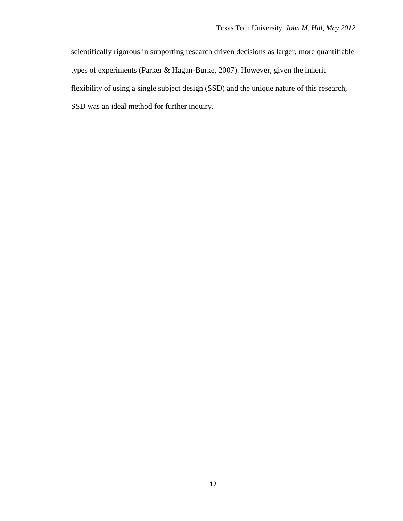scientifically rigorous in supporting research driven decisions as larger, more quantifiable types of experiments (Parker & Hagan-Burke, 2007). However, given the inherit flexibility of using a single subject design (SSD) and the unique nature of this research, SSD was an ideal method for further inquiry.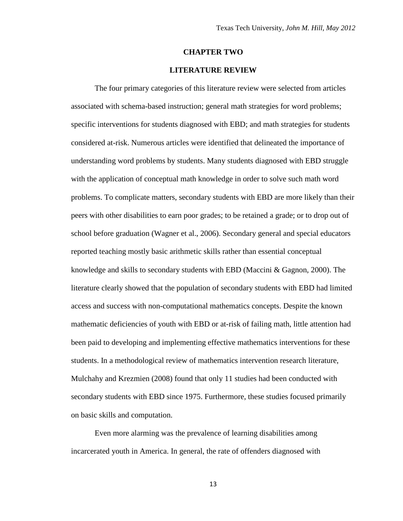#### **CHAPTER TWO**

## **LITERATURE REVIEW**

<span id="page-23-0"></span>The four primary categories of this literature review were selected from articles associated with schema-based instruction; general math strategies for word problems; specific interventions for students diagnosed with EBD; and math strategies for students considered at-risk. Numerous articles were identified that delineated the importance of understanding word problems by students. Many students diagnosed with EBD struggle with the application of conceptual math knowledge in order to solve such math word problems. To complicate matters, secondary students with EBD are more likely than their peers with other disabilities to earn poor grades; to be retained a grade; or to drop out of school before graduation (Wagner et al., 2006). Secondary general and special educators reported teaching mostly basic arithmetic skills rather than essential conceptual knowledge and skills to secondary students with EBD (Maccini & Gagnon, 2000). The literature clearly showed that the population of secondary students with EBD had limited access and success with non-computational mathematics concepts. Despite the known mathematic deficiencies of youth with EBD or at-risk of failing math, little attention had been paid to developing and implementing effective mathematics interventions for these students. In a methodological review of mathematics intervention research literature, Mulchahy and Krezmien (2008) found that only 11 studies had been conducted with secondary students with EBD since 1975. Furthermore, these studies focused primarily on basic skills and computation.

Even more alarming was the prevalence of learning disabilities among incarcerated youth in America. In general, the rate of offenders diagnosed with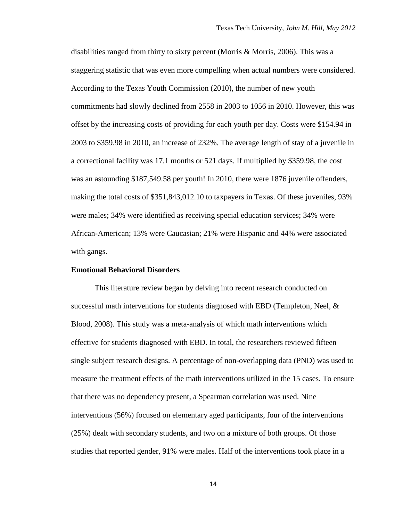disabilities ranged from thirty to sixty percent (Morris & Morris, 2006). This was a staggering statistic that was even more compelling when actual numbers were considered. According to the Texas Youth Commission (2010), the number of new youth commitments had slowly declined from 2558 in 2003 to 1056 in 2010. However, this was offset by the increasing costs of providing for each youth per day. Costs were \$154.94 in 2003 to \$359.98 in 2010, an increase of 232%. The average length of stay of a juvenile in a correctional facility was 17.1 months or 521 days. If multiplied by \$359.98, the cost was an astounding \$187,549.58 per youth! In 2010, there were 1876 juvenile offenders, making the total costs of \$351,843,012.10 to taxpayers in Texas. Of these juveniles, 93% were males; 34% were identified as receiving special education services; 34% were African-American; 13% were Caucasian; 21% were Hispanic and 44% were associated with gangs.

## <span id="page-24-0"></span>**Emotional Behavioral Disorders**

This literature review began by delving into recent research conducted on successful math interventions for students diagnosed with EBD (Templeton, Neel, & Blood, 2008). This study was a meta-analysis of which math interventions which effective for students diagnosed with EBD. In total, the researchers reviewed fifteen single subject research designs. A percentage of non-overlapping data (PND) was used to measure the treatment effects of the math interventions utilized in the 15 cases. To ensure that there was no dependency present, a Spearman correlation was used. Nine interventions (56%) focused on elementary aged participants, four of the interventions (25%) dealt with secondary students, and two on a mixture of both groups. Of those studies that reported gender, 91% were males. Half of the interventions took place in a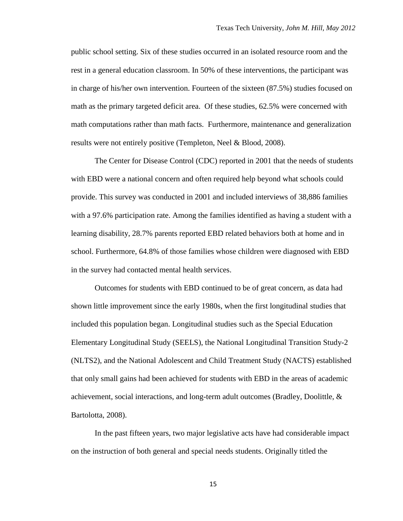public school setting. Six of these studies occurred in an isolated resource room and the rest in a general education classroom. In 50% of these interventions, the participant was in charge of his/her own intervention. Fourteen of the sixteen (87.5%) studies focused on math as the primary targeted deficit area. Of these studies, 62.5% were concerned with math computations rather than math facts. Furthermore, maintenance and generalization results were not entirely positive (Templeton, Neel & Blood, 2008).

The Center for Disease Control (CDC) reported in 2001 that the needs of students with EBD were a national concern and often required help beyond what schools could provide. This survey was conducted in 2001 and included interviews of 38,886 families with a 97.6% participation rate. Among the families identified as having a student with a learning disability, 28.7% parents reported EBD related behaviors both at home and in school. Furthermore, 64.8% of those families whose children were diagnosed with EBD in the survey had contacted mental health services.

Outcomes for students with EBD continued to be of great concern, as data had shown little improvement since the early 1980s, when the first longitudinal studies that included this population began. Longitudinal studies such as the Special Education Elementary Longitudinal Study (SEELS), the National Longitudinal Transition Study-2 (NLTS2), and the National Adolescent and Child Treatment Study (NACTS) established that only small gains had been achieved for students with EBD in the areas of academic achievement, social interactions, and long-term adult outcomes (Bradley, Doolittle, & Bartolotta, 2008).

In the past fifteen years, two major legislative acts have had considerable impact on the instruction of both general and special needs students. Originally titled the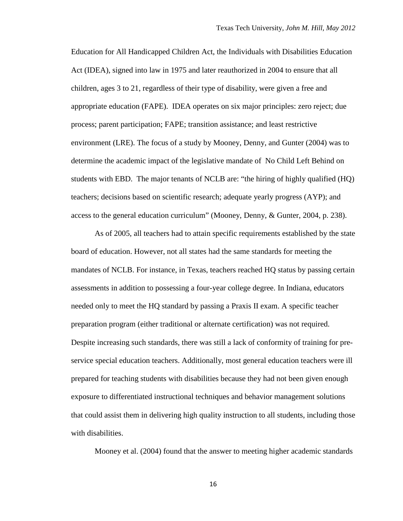Education for All Handicapped Children Act, the Individuals with Disabilities Education Act (IDEA), signed into law in 1975 and later reauthorized in 2004 to ensure that all children, ages 3 to 21, regardless of their type of disability, were given a free and appropriate education (FAPE). IDEA operates on six major principles: zero reject; due process; parent participation; FAPE; transition assistance; and least restrictive environment (LRE). The focus of a study by Mooney, Denny, and Gunter (2004) was to determine the academic impact of the legislative mandate of No Child Left Behind on students with EBD. The major tenants of NCLB are: "the hiring of highly qualified (HQ) teachers; decisions based on scientific research; adequate yearly progress (AYP); and access to the general education curriculum" (Mooney, Denny, & Gunter, 2004, p. 238).

As of 2005, all teachers had to attain specific requirements established by the state board of education. However, not all states had the same standards for meeting the mandates of NCLB. For instance, in Texas, teachers reached HQ status by passing certain assessments in addition to possessing a four-year college degree. In Indiana, educators needed only to meet the HQ standard by passing a Praxis II exam. A specific teacher preparation program (either traditional or alternate certification) was not required. Despite increasing such standards, there was still a lack of conformity of training for preservice special education teachers. Additionally, most general education teachers were ill prepared for teaching students with disabilities because they had not been given enough exposure to differentiated instructional techniques and behavior management solutions that could assist them in delivering high quality instruction to all students, including those with disabilities.

Mooney et al. (2004) found that the answer to meeting higher academic standards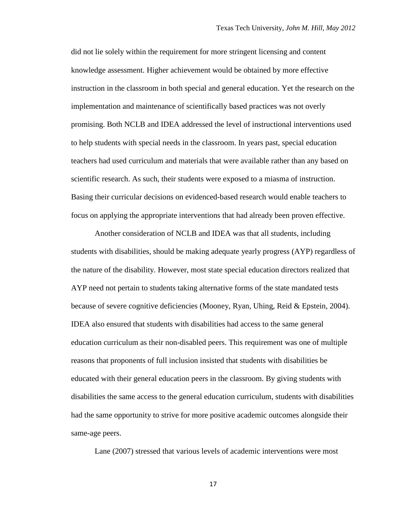did not lie solely within the requirement for more stringent licensing and content knowledge assessment. Higher achievement would be obtained by more effective instruction in the classroom in both special and general education. Yet the research on the implementation and maintenance of scientifically based practices was not overly promising. Both NCLB and IDEA addressed the level of instructional interventions used to help students with special needs in the classroom. In years past, special education teachers had used curriculum and materials that were available rather than any based on scientific research. As such, their students were exposed to a miasma of instruction. Basing their curricular decisions on evidenced-based research would enable teachers to focus on applying the appropriate interventions that had already been proven effective.

Another consideration of NCLB and IDEA was that all students, including students with disabilities, should be making adequate yearly progress (AYP) regardless of the nature of the disability. However, most state special education directors realized that AYP need not pertain to students taking alternative forms of the state mandated tests because of severe cognitive deficiencies (Mooney, Ryan, Uhing, Reid & Epstein, 2004). IDEA also ensured that students with disabilities had access to the same general education curriculum as their non-disabled peers. This requirement was one of multiple reasons that proponents of full inclusion insisted that students with disabilities be educated with their general education peers in the classroom. By giving students with disabilities the same access to the general education curriculum, students with disabilities had the same opportunity to strive for more positive academic outcomes alongside their same-age peers.

Lane (2007) stressed that various levels of academic interventions were most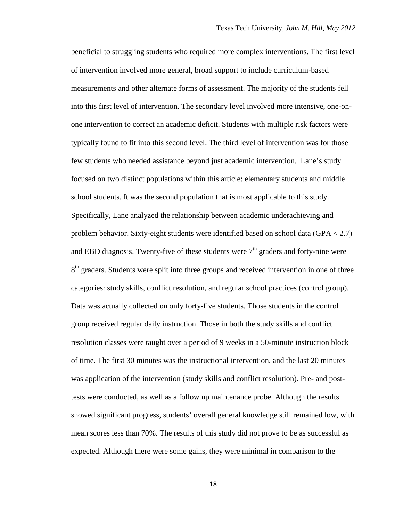beneficial to struggling students who required more complex interventions. The first level of intervention involved more general, broad support to include curriculum-based measurements and other alternate forms of assessment. The majority of the students fell into this first level of intervention. The secondary level involved more intensive, one-onone intervention to correct an academic deficit. Students with multiple risk factors were typically found to fit into this second level. The third level of intervention was for those few students who needed assistance beyond just academic intervention. Lane's study focused on two distinct populations within this article: elementary students and middle school students. It was the second population that is most applicable to this study. Specifically, Lane analyzed the relationship between academic underachieving and problem behavior. Sixty-eight students were identified based on school data (GPA < 2.7) and EBD diagnosis. Twenty-five of these students were  $7<sup>th</sup>$  graders and forty-nine were 8<sup>th</sup> graders. Students were split into three groups and received intervention in one of three categories: study skills, conflict resolution, and regular school practices (control group). Data was actually collected on only forty-five students. Those students in the control group received regular daily instruction. Those in both the study skills and conflict resolution classes were taught over a period of 9 weeks in a 50-minute instruction block of time. The first 30 minutes was the instructional intervention, and the last 20 minutes was application of the intervention (study skills and conflict resolution). Pre- and posttests were conducted, as well as a follow up maintenance probe. Although the results showed significant progress, students' overall general knowledge still remained low, with mean scores less than 70%. The results of this study did not prove to be as successful as expected. Although there were some gains, they were minimal in comparison to the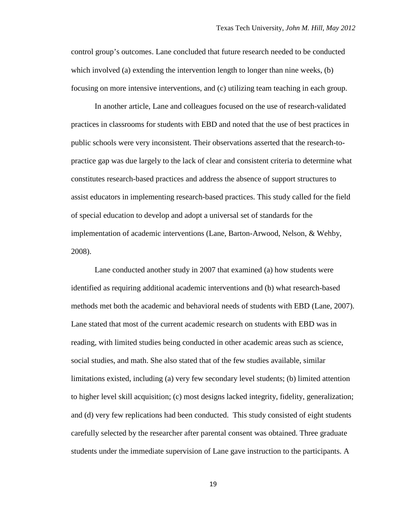control group's outcomes. Lane concluded that future research needed to be conducted which involved (a) extending the intervention length to longer than nine weeks, (b) focusing on more intensive interventions, and (c) utilizing team teaching in each group.

In another article, Lane and colleagues focused on the use of research-validated practices in classrooms for students with EBD and noted that the use of best practices in public schools were very inconsistent. Their observations asserted that the research-topractice gap was due largely to the lack of clear and consistent criteria to determine what constitutes research-based practices and address the absence of support structures to assist educators in implementing research-based practices. This study called for the field of special education to develop and adopt a universal set of standards for the implementation of academic interventions (Lane, Barton-Arwood, Nelson, & Wehby, 2008).

Lane conducted another study in 2007 that examined (a) how students were identified as requiring additional academic interventions and (b) what research-based methods met both the academic and behavioral needs of students with EBD (Lane, 2007). Lane stated that most of the current academic research on students with EBD was in reading, with limited studies being conducted in other academic areas such as science, social studies, and math. She also stated that of the few studies available, similar limitations existed, including (a) very few secondary level students; (b) limited attention to higher level skill acquisition; (c) most designs lacked integrity, fidelity, generalization; and (d) very few replications had been conducted. This study consisted of eight students carefully selected by the researcher after parental consent was obtained. Three graduate students under the immediate supervision of Lane gave instruction to the participants. A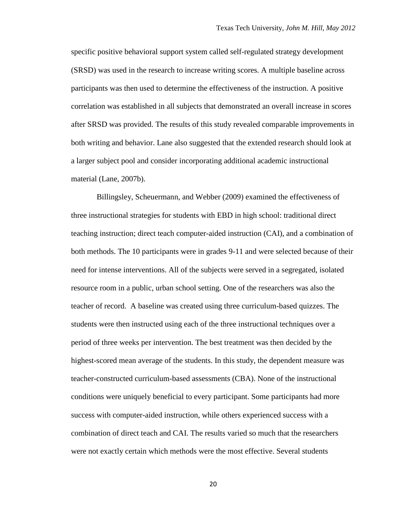specific positive behavioral support system called self-regulated strategy development (SRSD) was used in the research to increase writing scores. A multiple baseline across participants was then used to determine the effectiveness of the instruction. A positive correlation was established in all subjects that demonstrated an overall increase in scores after SRSD was provided. The results of this study revealed comparable improvements in both writing and behavior. Lane also suggested that the extended research should look at a larger subject pool and consider incorporating additional academic instructional material (Lane, 2007b).

Billingsley, Scheuermann, and Webber (2009) examined the effectiveness of three instructional strategies for students with EBD in high school: traditional direct teaching instruction; direct teach computer-aided instruction (CAI), and a combination of both methods. The 10 participants were in grades 9-11 and were selected because of their need for intense interventions. All of the subjects were served in a segregated, isolated resource room in a public, urban school setting. One of the researchers was also the teacher of record. A baseline was created using three curriculum-based quizzes. The students were then instructed using each of the three instructional techniques over a period of three weeks per intervention. The best treatment was then decided by the highest-scored mean average of the students. In this study, the dependent measure was teacher-constructed curriculum-based assessments (CBA). None of the instructional conditions were uniquely beneficial to every participant. Some participants had more success with computer-aided instruction, while others experienced success with a combination of direct teach and CAI. The results varied so much that the researchers were not exactly certain which methods were the most effective. Several students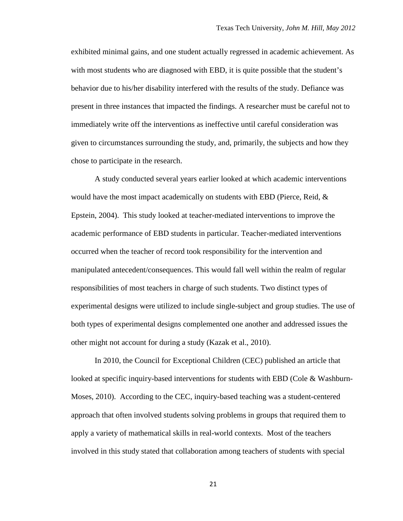exhibited minimal gains, and one student actually regressed in academic achievement. As with most students who are diagnosed with EBD, it is quite possible that the student's behavior due to his/her disability interfered with the results of the study. Defiance was present in three instances that impacted the findings. A researcher must be careful not to immediately write off the interventions as ineffective until careful consideration was given to circumstances surrounding the study, and, primarily, the subjects and how they chose to participate in the research.

A study conducted several years earlier looked at which academic interventions would have the most impact academically on students with EBD (Pierce, Reid,  $\&$ Epstein, 2004). This study looked at teacher-mediated interventions to improve the academic performance of EBD students in particular. Teacher-mediated interventions occurred when the teacher of record took responsibility for the intervention and manipulated antecedent/consequences. This would fall well within the realm of regular responsibilities of most teachers in charge of such students. Two distinct types of experimental designs were utilized to include single-subject and group studies. The use of both types of experimental designs complemented one another and addressed issues the other might not account for during a study (Kazak et al., 2010).

In 2010, the Council for Exceptional Children (CEC) published an article that looked at specific inquiry-based interventions for students with EBD (Cole & Washburn-Moses, 2010). According to the CEC, inquiry-based teaching was a student-centered approach that often involved students solving problems in groups that required them to apply a variety of mathematical skills in real-world contexts. Most of the teachers involved in this study stated that collaboration among teachers of students with special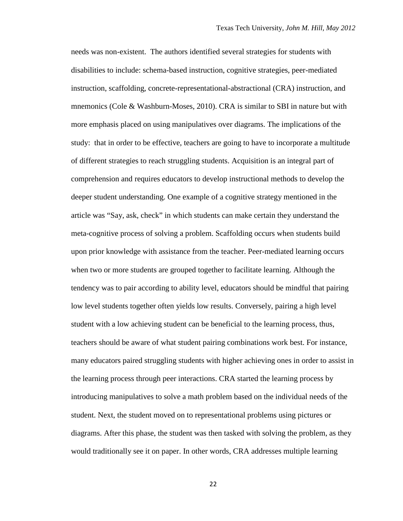needs was non-existent. The authors identified several strategies for students with disabilities to include: schema-based instruction, cognitive strategies, peer-mediated instruction, scaffolding, concrete-representational-abstractional (CRA) instruction, and mnemonics (Cole & Washburn-Moses, 2010). CRA is similar to SBI in nature but with more emphasis placed on using manipulatives over diagrams. The implications of the study: that in order to be effective, teachers are going to have to incorporate a multitude of different strategies to reach struggling students. Acquisition is an integral part of comprehension and requires educators to develop instructional methods to develop the deeper student understanding. One example of a cognitive strategy mentioned in the article was "Say, ask, check" in which students can make certain they understand the meta-cognitive process of solving a problem. Scaffolding occurs when students build upon prior knowledge with assistance from the teacher. Peer-mediated learning occurs when two or more students are grouped together to facilitate learning. Although the tendency was to pair according to ability level, educators should be mindful that pairing low level students together often yields low results. Conversely, pairing a high level student with a low achieving student can be beneficial to the learning process, thus, teachers should be aware of what student pairing combinations work best. For instance, many educators paired struggling students with higher achieving ones in order to assist in the learning process through peer interactions. CRA started the learning process by introducing manipulatives to solve a math problem based on the individual needs of the student. Next, the student moved on to representational problems using pictures or diagrams. After this phase, the student was then tasked with solving the problem, as they would traditionally see it on paper. In other words, CRA addresses multiple learning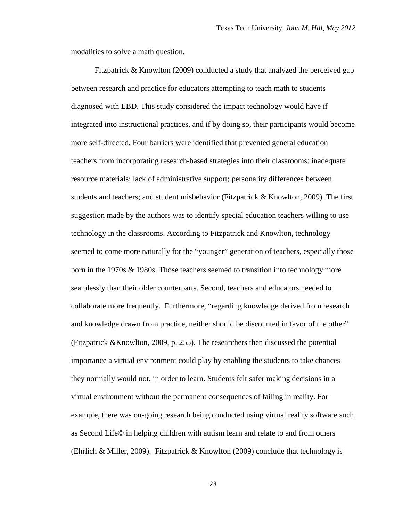modalities to solve a math question.

Fitzpatrick & Knowlton (2009) conducted a study that analyzed the perceived gap between research and practice for educators attempting to teach math to students diagnosed with EBD. This study considered the impact technology would have if integrated into instructional practices, and if by doing so, their participants would become more self-directed. Four barriers were identified that prevented general education teachers from incorporating research-based strategies into their classrooms: inadequate resource materials; lack of administrative support; personality differences between students and teachers; and student misbehavior (Fitzpatrick & Knowlton, 2009). The first suggestion made by the authors was to identify special education teachers willing to use technology in the classrooms. According to Fitzpatrick and Knowlton, technology seemed to come more naturally for the "younger" generation of teachers, especially those born in the 1970s & 1980s. Those teachers seemed to transition into technology more seamlessly than their older counterparts. Second, teachers and educators needed to collaborate more frequently. Furthermore, "regarding knowledge derived from research and knowledge drawn from practice, neither should be discounted in favor of the other" (Fitzpatrick &Knowlton, 2009, p. 255). The researchers then discussed the potential importance a virtual environment could play by enabling the students to take chances they normally would not, in order to learn. Students felt safer making decisions in a virtual environment without the permanent consequences of failing in reality. For example, there was on-going research being conducted using virtual reality software such as Second Life© in helping children with autism learn and relate to and from others (Ehrlich & Miller, 2009). Fitzpatrick & Knowlton (2009) conclude that technology is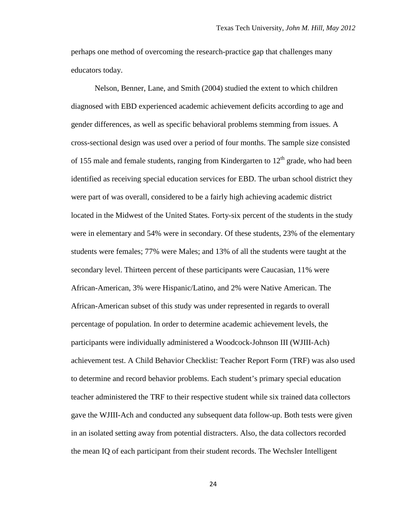perhaps one method of overcoming the research-practice gap that challenges many educators today.

Nelson, Benner, Lane, and Smith (2004) studied the extent to which children diagnosed with EBD experienced academic achievement deficits according to age and gender differences, as well as specific behavioral problems stemming from issues. A cross-sectional design was used over a period of four months. The sample size consisted of 155 male and female students, ranging from Kindergarten to  $12<sup>th</sup>$  grade, who had been identified as receiving special education services for EBD. The urban school district they were part of was overall, considered to be a fairly high achieving academic district located in the Midwest of the United States. Forty-six percent of the students in the study were in elementary and 54% were in secondary. Of these students, 23% of the elementary students were females; 77% were Males; and 13% of all the students were taught at the secondary level. Thirteen percent of these participants were Caucasian, 11% were African-American, 3% were Hispanic/Latino, and 2% were Native American. The African-American subset of this study was under represented in regards to overall percentage of population. In order to determine academic achievement levels, the participants were individually administered a Woodcock-Johnson III (WJIII-Ach) achievement test. A Child Behavior Checklist: Teacher Report Form (TRF) was also used to determine and record behavior problems. Each student's primary special education teacher administered the TRF to their respective student while six trained data collectors gave the WJIII-Ach and conducted any subsequent data follow-up. Both tests were given in an isolated setting away from potential distracters. Also, the data collectors recorded the mean IQ of each participant from their student records. The Wechsler Intelligent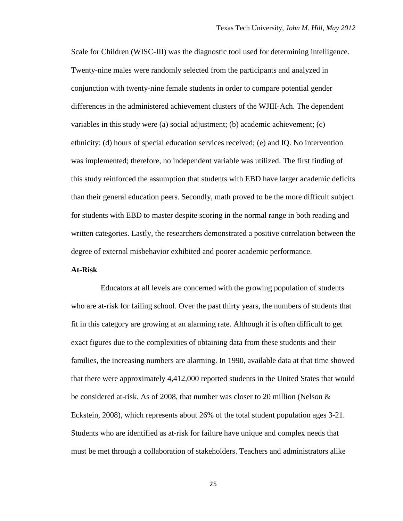Scale for Children (WISC-III) was the diagnostic tool used for determining intelligence. Twenty-nine males were randomly selected from the participants and analyzed in conjunction with twenty-nine female students in order to compare potential gender differences in the administered achievement clusters of the WJIII-Ach. The dependent variables in this study were (a) social adjustment; (b) academic achievement; (c) ethnicity: (d) hours of special education services received; (e) and IQ. No intervention was implemented; therefore, no independent variable was utilized. The first finding of this study reinforced the assumption that students with EBD have larger academic deficits than their general education peers. Secondly, math proved to be the more difficult subject for students with EBD to master despite scoring in the normal range in both reading and written categories. Lastly, the researchers demonstrated a positive correlation between the degree of external misbehavior exhibited and poorer academic performance.

## <span id="page-35-0"></span>**At-Risk**

 Educators at all levels are concerned with the growing population of students who are at-risk for failing school. Over the past thirty years, the numbers of students that fit in this category are growing at an alarming rate. Although it is often difficult to get exact figures due to the complexities of obtaining data from these students and their families, the increasing numbers are alarming. In 1990, available data at that time showed that there were approximately 4,412,000 reported students in the United States that would be considered at-risk. As of 2008, that number was closer to 20 million (Nelson  $\&$ Eckstein, 2008), which represents about 26% of the total student population ages 3-21. Students who are identified as at-risk for failure have unique and complex needs that must be met through a collaboration of stakeholders. Teachers and administrators alike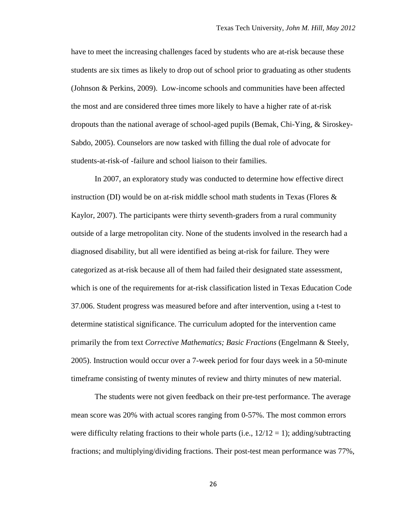have to meet the increasing challenges faced by students who are at-risk because these students are six times as likely to drop out of school prior to graduating as other students (Johnson & Perkins, 2009). Low-income schools and communities have been affected the most and are considered three times more likely to have a higher rate of at-risk dropouts than the national average of school-aged pupils (Bemak, Chi-Ying, & Siroskey-Sabdo, 2005). Counselors are now tasked with filling the dual role of advocate for students-at-risk-of -failure and school liaison to their families.

In 2007, an exploratory study was conducted to determine how effective direct instruction (DI) would be on at-risk middle school math students in Texas (Flores  $\&$ Kaylor, 2007). The participants were thirty seventh-graders from a rural community outside of a large metropolitan city. None of the students involved in the research had a diagnosed disability, but all were identified as being at-risk for failure. They were categorized as at-risk because all of them had failed their designated state assessment, which is one of the requirements for at-risk classification listed in Texas Education Code 37.006. Student progress was measured before and after intervention, using a t-test to determine statistical significance. The curriculum adopted for the intervention came primarily the from text *Corrective Mathematics; Basic Fractions* (Engelmann & Steely, 2005). Instruction would occur over a 7-week period for four days week in a 50-minute timeframe consisting of twenty minutes of review and thirty minutes of new material.

The students were not given feedback on their pre-test performance. The average mean score was 20% with actual scores ranging from 0-57%. The most common errors were difficulty relating fractions to their whole parts (i.e.,  $12/12 = 1$ ); adding/subtracting fractions; and multiplying/dividing fractions. Their post-test mean performance was 77%,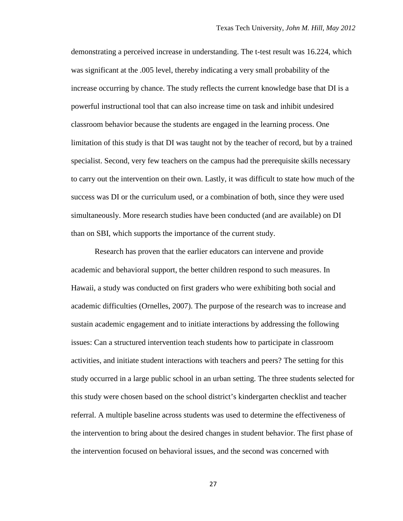demonstrating a perceived increase in understanding. The t-test result was 16.224, which was significant at the .005 level, thereby indicating a very small probability of the increase occurring by chance. The study reflects the current knowledge base that DI is a powerful instructional tool that can also increase time on task and inhibit undesired classroom behavior because the students are engaged in the learning process. One limitation of this study is that DI was taught not by the teacher of record, but by a trained specialist. Second, very few teachers on the campus had the prerequisite skills necessary to carry out the intervention on their own. Lastly, it was difficult to state how much of the success was DI or the curriculum used, or a combination of both, since they were used simultaneously. More research studies have been conducted (and are available) on DI than on SBI, which supports the importance of the current study.

Research has proven that the earlier educators can intervene and provide academic and behavioral support, the better children respond to such measures. In Hawaii, a study was conducted on first graders who were exhibiting both social and academic difficulties (Ornelles, 2007). The purpose of the research was to increase and sustain academic engagement and to initiate interactions by addressing the following issues: Can a structured intervention teach students how to participate in classroom activities, and initiate student interactions with teachers and peers? The setting for this study occurred in a large public school in an urban setting. The three students selected for this study were chosen based on the school district's kindergarten checklist and teacher referral. A multiple baseline across students was used to determine the effectiveness of the intervention to bring about the desired changes in student behavior. The first phase of the intervention focused on behavioral issues, and the second was concerned with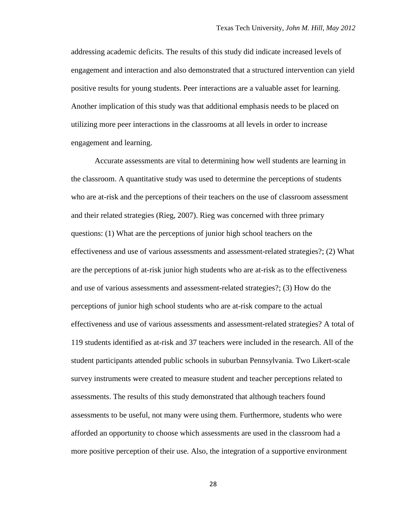addressing academic deficits. The results of this study did indicate increased levels of engagement and interaction and also demonstrated that a structured intervention can yield positive results for young students. Peer interactions are a valuable asset for learning. Another implication of this study was that additional emphasis needs to be placed on utilizing more peer interactions in the classrooms at all levels in order to increase engagement and learning.

Accurate assessments are vital to determining how well students are learning in the classroom. A quantitative study was used to determine the perceptions of students who are at-risk and the perceptions of their teachers on the use of classroom assessment and their related strategies (Rieg, 2007). Rieg was concerned with three primary questions: (1) What are the perceptions of junior high school teachers on the effectiveness and use of various assessments and assessment-related strategies?; (2) What are the perceptions of at-risk junior high students who are at-risk as to the effectiveness and use of various assessments and assessment-related strategies?; (3) How do the perceptions of junior high school students who are at-risk compare to the actual effectiveness and use of various assessments and assessment-related strategies? A total of 119 students identified as at-risk and 37 teachers were included in the research. All of the student participants attended public schools in suburban Pennsylvania. Two Likert-scale survey instruments were created to measure student and teacher perceptions related to assessments. The results of this study demonstrated that although teachers found assessments to be useful, not many were using them. Furthermore, students who were afforded an opportunity to choose which assessments are used in the classroom had a more positive perception of their use. Also, the integration of a supportive environment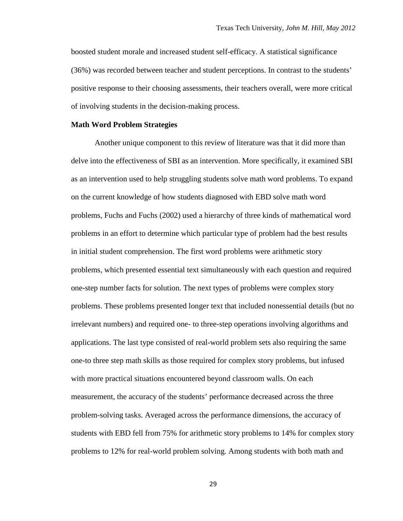boosted student morale and increased student self-efficacy. A statistical significance (36%) was recorded between teacher and student perceptions. In contrast to the students' positive response to their choosing assessments, their teachers overall, were more critical of involving students in the decision-making process.

## **Math Word Problem Strategies**

Another unique component to this review of literature was that it did more than delve into the effectiveness of SBI as an intervention. More specifically, it examined SBI as an intervention used to help struggling students solve math word problems. To expand on the current knowledge of how students diagnosed with EBD solve math word problems, Fuchs and Fuchs (2002) used a hierarchy of three kinds of mathematical word problems in an effort to determine which particular type of problem had the best results in initial student comprehension. The first word problems were arithmetic story problems, which presented essential text simultaneously with each question and required one-step number facts for solution. The next types of problems were complex story problems. These problems presented longer text that included nonessential details (but no irrelevant numbers) and required one- to three-step operations involving algorithms and applications. The last type consisted of real-world problem sets also requiring the same one-to three step math skills as those required for complex story problems, but infused with more practical situations encountered beyond classroom walls. On each measurement, the accuracy of the students' performance decreased across the three problem-solving tasks. Averaged across the performance dimensions, the accuracy of students with EBD fell from 75% for arithmetic story problems to 14% for complex story problems to 12% for real-world problem solving. Among students with both math and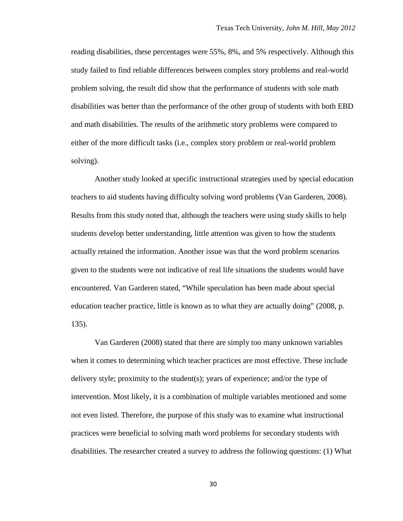reading disabilities, these percentages were 55%, 8%, and 5% respectively. Although this study failed to find reliable differences between complex story problems and real-world problem solving, the result did show that the performance of students with sole math disabilities was better than the performance of the other group of students with both EBD and math disabilities. The results of the arithmetic story problems were compared to either of the more difficult tasks (i.e., complex story problem or real-world problem solving).

Another study looked at specific instructional strategies used by special education teachers to aid students having difficulty solving word problems (Van Garderen, 2008). Results from this study noted that, although the teachers were using study skills to help students develop better understanding, little attention was given to how the students actually retained the information. Another issue was that the word problem scenarios given to the students were not indicative of real life situations the students would have encountered. Van Garderen stated, "While speculation has been made about special education teacher practice, little is known as to what they are actually doing" (2008, p. 135).

Van Garderen (2008) stated that there are simply too many unknown variables when it comes to determining which teacher practices are most effective. These include delivery style; proximity to the student(s); years of experience; and/or the type of intervention. Most likely, it is a combination of multiple variables mentioned and some not even listed. Therefore, the purpose of this study was to examine what instructional practices were beneficial to solving math word problems for secondary students with disabilities. The researcher created a survey to address the following questions: (1) What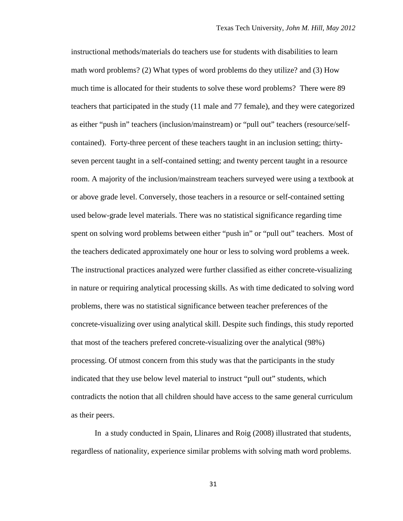instructional methods/materials do teachers use for students with disabilities to learn math word problems? (2) What types of word problems do they utilize? and (3) How much time is allocated for their students to solve these word problems? There were 89 teachers that participated in the study (11 male and 77 female), and they were categorized as either "push in" teachers (inclusion/mainstream) or "pull out" teachers (resource/selfcontained). Forty-three percent of these teachers taught in an inclusion setting; thirtyseven percent taught in a self-contained setting; and twenty percent taught in a resource room. A majority of the inclusion/mainstream teachers surveyed were using a textbook at or above grade level. Conversely, those teachers in a resource or self-contained setting used below-grade level materials. There was no statistical significance regarding time spent on solving word problems between either "push in" or "pull out" teachers. Most of the teachers dedicated approximately one hour or less to solving word problems a week. The instructional practices analyzed were further classified as either concrete-visualizing in nature or requiring analytical processing skills. As with time dedicated to solving word problems, there was no statistical significance between teacher preferences of the concrete-visualizing over using analytical skill. Despite such findings, this study reported that most of the teachers prefered concrete-visualizing over the analytical (98%) processing. Of utmost concern from this study was that the participants in the study indicated that they use below level material to instruct "pull out" students, which contradicts the notion that all children should have access to the same general curriculum as their peers.

In a study conducted in Spain, Llinares and Roig (2008) illustrated that students, regardless of nationality, experience similar problems with solving math word problems.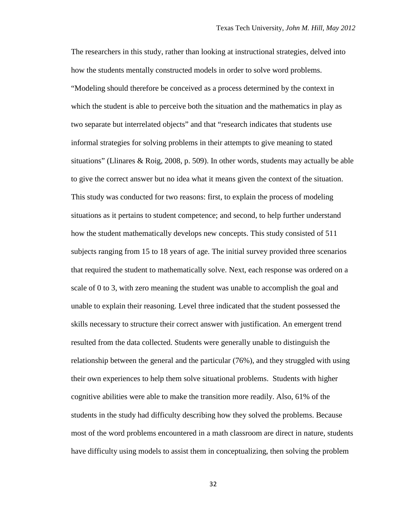The researchers in this study, rather than looking at instructional strategies, delved into how the students mentally constructed models in order to solve word problems. "Modeling should therefore be conceived as a process determined by the context in which the student is able to perceive both the situation and the mathematics in play as two separate but interrelated objects" and that "research indicates that students use informal strategies for solving problems in their attempts to give meaning to stated situations" (Llinares & Roig, 2008, p. 509). In other words, students may actually be able to give the correct answer but no idea what it means given the context of the situation. This study was conducted for two reasons: first, to explain the process of modeling situations as it pertains to student competence; and second, to help further understand how the student mathematically develops new concepts. This study consisted of 511 subjects ranging from 15 to 18 years of age. The initial survey provided three scenarios that required the student to mathematically solve. Next, each response was ordered on a scale of 0 to 3, with zero meaning the student was unable to accomplish the goal and unable to explain their reasoning. Level three indicated that the student possessed the skills necessary to structure their correct answer with justification. An emergent trend resulted from the data collected. Students were generally unable to distinguish the relationship between the general and the particular (76%), and they struggled with using their own experiences to help them solve situational problems. Students with higher cognitive abilities were able to make the transition more readily. Also, 61% of the students in the study had difficulty describing how they solved the problems. Because most of the word problems encountered in a math classroom are direct in nature, students have difficulty using models to assist them in conceptualizing, then solving the problem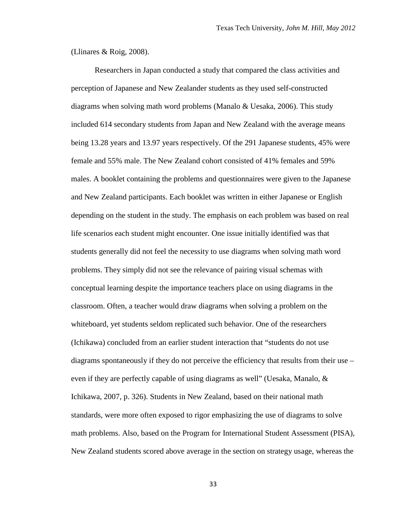(Llinares & Roig, 2008).

Researchers in Japan conducted a study that compared the class activities and perception of Japanese and New Zealander students as they used self-constructed diagrams when solving math word problems (Manalo & Uesaka, 2006). This study included 614 secondary students from Japan and New Zealand with the average means being 13.28 years and 13.97 years respectively. Of the 291 Japanese students, 45% were female and 55% male. The New Zealand cohort consisted of 41% females and 59% males. A booklet containing the problems and questionnaires were given to the Japanese and New Zealand participants. Each booklet was written in either Japanese or English depending on the student in the study. The emphasis on each problem was based on real life scenarios each student might encounter. One issue initially identified was that students generally did not feel the necessity to use diagrams when solving math word problems. They simply did not see the relevance of pairing visual schemas with conceptual learning despite the importance teachers place on using diagrams in the classroom. Often, a teacher would draw diagrams when solving a problem on the whiteboard, yet students seldom replicated such behavior. One of the researchers (Ichikawa) concluded from an earlier student interaction that "students do not use diagrams spontaneously if they do not perceive the efficiency that results from their use – even if they are perfectly capable of using diagrams as well" (Uesaka, Manalo,  $\&$ Ichikawa, 2007, p. 326). Students in New Zealand, based on their national math standards, were more often exposed to rigor emphasizing the use of diagrams to solve math problems. Also, based on the Program for International Student Assessment (PISA), New Zealand students scored above average in the section on strategy usage, whereas the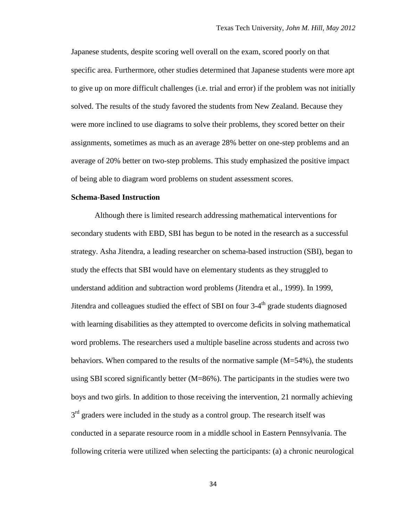Japanese students, despite scoring well overall on the exam, scored poorly on that specific area. Furthermore, other studies determined that Japanese students were more apt to give up on more difficult challenges (i.e. trial and error) if the problem was not initially solved. The results of the study favored the students from New Zealand. Because they were more inclined to use diagrams to solve their problems, they scored better on their assignments, sometimes as much as an average 28% better on one-step problems and an average of 20% better on two-step problems. This study emphasized the positive impact of being able to diagram word problems on student assessment scores.

## **Schema-Based Instruction**

Although there is limited research addressing mathematical interventions for secondary students with EBD, SBI has begun to be noted in the research as a successful strategy. Asha Jitendra, a leading researcher on schema-based instruction (SBI), began to study the effects that SBI would have on elementary students as they struggled to understand addition and subtraction word problems (Jitendra et al., 1999). In 1999, Jitendra and colleagues studied the effect of SBI on four  $3-4<sup>th</sup>$  grade students diagnosed with learning disabilities as they attempted to overcome deficits in solving mathematical word problems. The researchers used a multiple baseline across students and across two behaviors. When compared to the results of the normative sample  $(M=54\%)$ , the students using SBI scored significantly better (M=86%). The participants in the studies were two boys and two girls. In addition to those receiving the intervention, 21 normally achieving  $3<sup>rd</sup>$  graders were included in the study as a control group. The research itself was conducted in a separate resource room in a middle school in Eastern Pennsylvania. The following criteria were utilized when selecting the participants: (a) a chronic neurological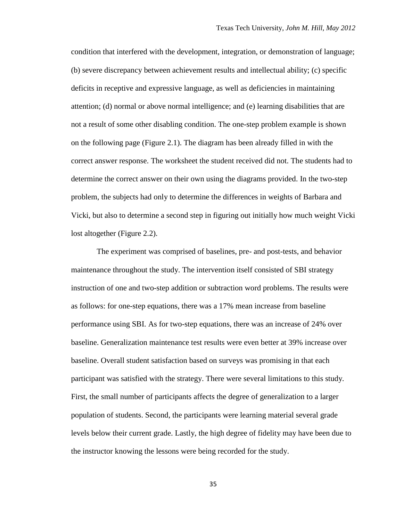condition that interfered with the development, integration, or demonstration of language; (b) severe discrepancy between achievement results and intellectual ability; (c) specific deficits in receptive and expressive language, as well as deficiencies in maintaining attention; (d) normal or above normal intelligence; and (e) learning disabilities that are not a result of some other disabling condition. The one-step problem example is shown on the following page (Figure 2.1). The diagram has been already filled in with the correct answer response. The worksheet the student received did not. The students had to determine the correct answer on their own using the diagrams provided. In the two-step problem, the subjects had only to determine the differences in weights of Barbara and Vicki, but also to determine a second step in figuring out initially how much weight Vicki lost altogether (Figure 2.2).

The experiment was comprised of baselines, pre- and post-tests, and behavior maintenance throughout the study. The intervention itself consisted of SBI strategy instruction of one and two-step addition or subtraction word problems. The results were as follows: for one-step equations, there was a 17% mean increase from baseline performance using SBI. As for two-step equations, there was an increase of 24% over baseline. Generalization maintenance test results were even better at 39% increase over baseline. Overall student satisfaction based on surveys was promising in that each participant was satisfied with the strategy. There were several limitations to this study. First, the small number of participants affects the degree of generalization to a larger population of students. Second, the participants were learning material several grade levels below their current grade. Lastly, the high degree of fidelity may have been due to the instructor knowing the lessons were being recorded for the study.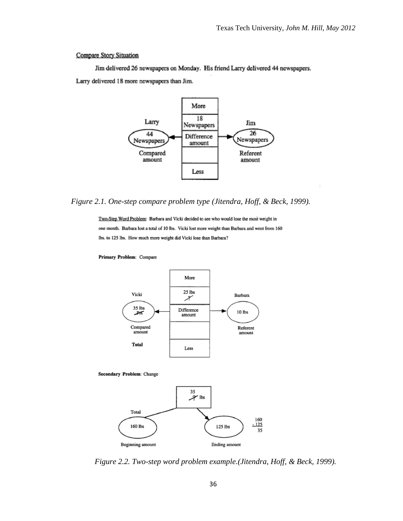#### Compare Story Situation

Jim delivered 26 newspapers on Monday. His friend Larry delivered 44 newspapers. Larry delivered 18 more newspapers than Jim.



*Figure 2.1. One-step compare problem type (Jitendra, Hoff, & Beck, 1999).*

Two-Step Word Problem: Barbara and Vicki decided to see who would lose the most weight in one month. Barbara lost a total of 10 lbs. Vicki lost more weight than Barbara and went from 160 lbs. to 125 lbs. How much more weight did Vicki lose than Barbara?



Primary Problem: Compare

Secondary Problem: Change



*Figure 2.2. Two-step word problem example.(Jitendra, Hoff, & Beck, 1999).*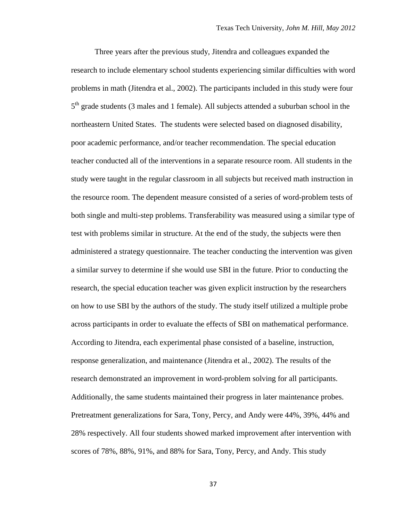Three years after the previous study, Jitendra and colleagues expanded the research to include elementary school students experiencing similar difficulties with word problems in math (Jitendra et al., 2002). The participants included in this study were four 5<sup>th</sup> grade students (3 males and 1 female). All subjects attended a suburban school in the northeastern United States. The students were selected based on diagnosed disability, poor academic performance, and/or teacher recommendation. The special education teacher conducted all of the interventions in a separate resource room. All students in the study were taught in the regular classroom in all subjects but received math instruction in the resource room. The dependent measure consisted of a series of word-problem tests of both single and multi-step problems. Transferability was measured using a similar type of test with problems similar in structure. At the end of the study, the subjects were then administered a strategy questionnaire. The teacher conducting the intervention was given a similar survey to determine if she would use SBI in the future. Prior to conducting the research, the special education teacher was given explicit instruction by the researchers on how to use SBI by the authors of the study. The study itself utilized a multiple probe across participants in order to evaluate the effects of SBI on mathematical performance. According to Jitendra, each experimental phase consisted of a baseline, instruction, response generalization, and maintenance (Jitendra et al., 2002). The results of the research demonstrated an improvement in word-problem solving for all participants. Additionally, the same students maintained their progress in later maintenance probes. Pretreatment generalizations for Sara, Tony, Percy, and Andy were 44%, 39%, 44% and 28% respectively. All four students showed marked improvement after intervention with scores of 78%, 88%, 91%, and 88% for Sara, Tony, Percy, and Andy. This study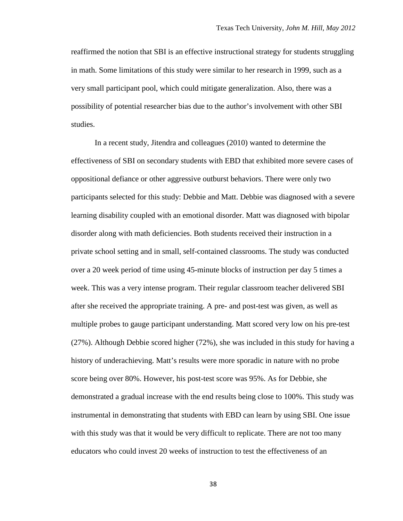reaffirmed the notion that SBI is an effective instructional strategy for students struggling in math. Some limitations of this study were similar to her research in 1999, such as a very small participant pool, which could mitigate generalization. Also, there was a possibility of potential researcher bias due to the author's involvement with other SBI studies.

In a recent study, Jitendra and colleagues (2010) wanted to determine the effectiveness of SBI on secondary students with EBD that exhibited more severe cases of oppositional defiance or other aggressive outburst behaviors. There were only two participants selected for this study: Debbie and Matt. Debbie was diagnosed with a severe learning disability coupled with an emotional disorder. Matt was diagnosed with bipolar disorder along with math deficiencies. Both students received their instruction in a private school setting and in small, self-contained classrooms. The study was conducted over a 20 week period of time using 45-minute blocks of instruction per day 5 times a week. This was a very intense program. Their regular classroom teacher delivered SBI after she received the appropriate training. A pre- and post-test was given, as well as multiple probes to gauge participant understanding. Matt scored very low on his pre-test (27%). Although Debbie scored higher (72%), she was included in this study for having a history of underachieving. Matt's results were more sporadic in nature with no probe score being over 80%. However, his post-test score was 95%. As for Debbie, she demonstrated a gradual increase with the end results being close to 100%. This study was instrumental in demonstrating that students with EBD can learn by using SBI. One issue with this study was that it would be very difficult to replicate. There are not too many educators who could invest 20 weeks of instruction to test the effectiveness of an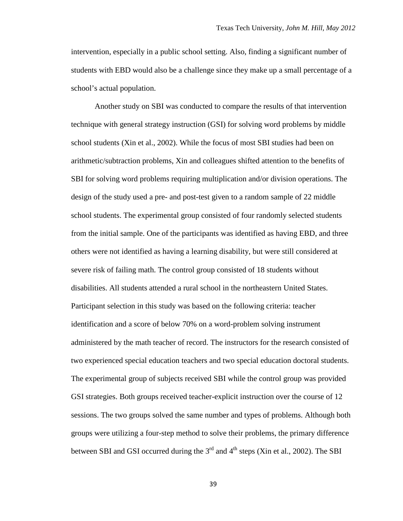intervention, especially in a public school setting. Also, finding a significant number of students with EBD would also be a challenge since they make up a small percentage of a school's actual population.

Another study on SBI was conducted to compare the results of that intervention technique with general strategy instruction (GSI) for solving word problems by middle school students (Xin et al., 2002). While the focus of most SBI studies had been on arithmetic/subtraction problems, Xin and colleagues shifted attention to the benefits of SBI for solving word problems requiring multiplication and/or division operations. The design of the study used a pre- and post-test given to a random sample of 22 middle school students. The experimental group consisted of four randomly selected students from the initial sample. One of the participants was identified as having EBD, and three others were not identified as having a learning disability, but were still considered at severe risk of failing math. The control group consisted of 18 students without disabilities. All students attended a rural school in the northeastern United States. Participant selection in this study was based on the following criteria: teacher identification and a score of below 70% on a word-problem solving instrument administered by the math teacher of record. The instructors for the research consisted of two experienced special education teachers and two special education doctoral students. The experimental group of subjects received SBI while the control group was provided GSI strategies. Both groups received teacher-explicit instruction over the course of 12 sessions. The two groups solved the same number and types of problems. Although both groups were utilizing a four-step method to solve their problems, the primary difference between SBI and GSI occurred during the  $3<sup>rd</sup>$  and  $4<sup>th</sup>$  steps (Xin et al., 2002). The SBI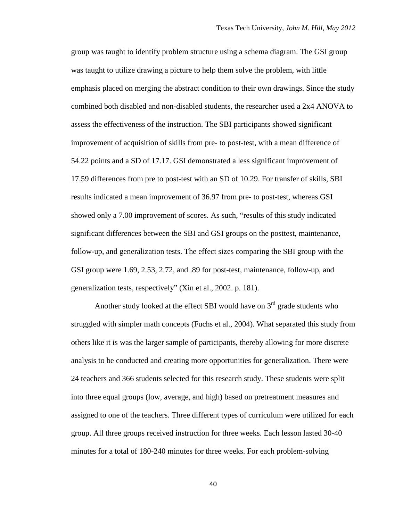group was taught to identify problem structure using a schema diagram. The GSI group was taught to utilize drawing a picture to help them solve the problem, with little emphasis placed on merging the abstract condition to their own drawings. Since the study combined both disabled and non-disabled students, the researcher used a 2x4 ANOVA to assess the effectiveness of the instruction. The SBI participants showed significant improvement of acquisition of skills from pre- to post-test, with a mean difference of 54.22 points and a SD of 17.17. GSI demonstrated a less significant improvement of 17.59 differences from pre to post-test with an SD of 10.29. For transfer of skills, SBI results indicated a mean improvement of 36.97 from pre- to post-test, whereas GSI showed only a 7.00 improvement of scores. As such, "results of this study indicated significant differences between the SBI and GSI groups on the posttest, maintenance, follow-up, and generalization tests. The effect sizes comparing the SBI group with the GSI group were 1.69, 2.53, 2.72, and .89 for post-test, maintenance, follow-up, and generalization tests, respectively" (Xin et al., 2002. p. 181).

Another study looked at the effect SBI would have on  $3<sup>rd</sup>$  grade students who struggled with simpler math concepts (Fuchs et al., 2004). What separated this study from others like it is was the larger sample of participants, thereby allowing for more discrete analysis to be conducted and creating more opportunities for generalization. There were 24 teachers and 366 students selected for this research study. These students were split into three equal groups (low, average, and high) based on pretreatment measures and assigned to one of the teachers. Three different types of curriculum were utilized for each group. All three groups received instruction for three weeks. Each lesson lasted 30-40 minutes for a total of 180-240 minutes for three weeks. For each problem-solving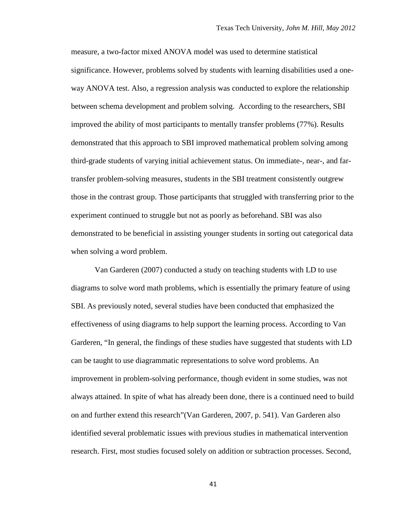measure, a two-factor mixed ANOVA model was used to determine statistical significance. However, problems solved by students with learning disabilities used a oneway ANOVA test. Also, a regression analysis was conducted to explore the relationship between schema development and problem solving. According to the researchers, SBI improved the ability of most participants to mentally transfer problems (77%). Results demonstrated that this approach to SBI improved mathematical problem solving among third-grade students of varying initial achievement status. On immediate-, near-, and fartransfer problem-solving measures, students in the SBI treatment consistently outgrew those in the contrast group. Those participants that struggled with transferring prior to the experiment continued to struggle but not as poorly as beforehand. SBI was also demonstrated to be beneficial in assisting younger students in sorting out categorical data when solving a word problem.

Van Garderen (2007) conducted a study on teaching students with LD to use diagrams to solve word math problems, which is essentially the primary feature of using SBI. As previously noted, several studies have been conducted that emphasized the effectiveness of using diagrams to help support the learning process. According to Van Garderen, "In general, the findings of these studies have suggested that students with LD can be taught to use diagrammatic representations to solve word problems. An improvement in problem-solving performance, though evident in some studies, was not always attained. In spite of what has already been done, there is a continued need to build on and further extend this research"(Van Garderen, 2007, p. 541). Van Garderen also identified several problematic issues with previous studies in mathematical intervention research. First, most studies focused solely on addition or subtraction processes. Second,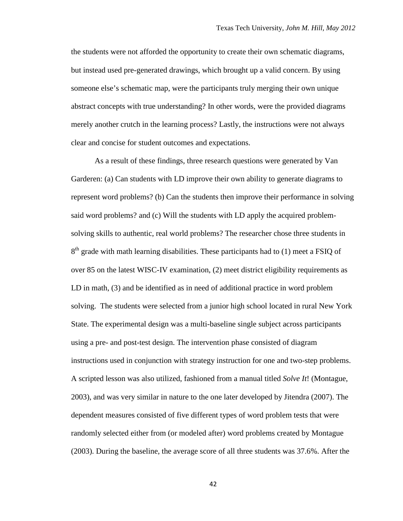the students were not afforded the opportunity to create their own schematic diagrams, but instead used pre-generated drawings, which brought up a valid concern. By using someone else's schematic map, were the participants truly merging their own unique abstract concepts with true understanding? In other words, were the provided diagrams merely another crutch in the learning process? Lastly, the instructions were not always clear and concise for student outcomes and expectations.

As a result of these findings, three research questions were generated by Van Garderen: (a) Can students with LD improve their own ability to generate diagrams to represent word problems? (b) Can the students then improve their performance in solving said word problems? and (c) Will the students with LD apply the acquired problemsolving skills to authentic, real world problems? The researcher chose three students in  $8<sup>th</sup>$  grade with math learning disabilities. These participants had to (1) meet a FSIQ of over 85 on the latest WISC-IV examination, (2) meet district eligibility requirements as LD in math, (3) and be identified as in need of additional practice in word problem solving. The students were selected from a junior high school located in rural New York State. The experimental design was a multi-baseline single subject across participants using a pre- and post-test design. The intervention phase consisted of diagram instructions used in conjunction with strategy instruction for one and two-step problems. A scripted lesson was also utilized, fashioned from a manual titled *Solve It*! (Montague, 2003), and was very similar in nature to the one later developed by Jitendra (2007). The dependent measures consisted of five different types of word problem tests that were randomly selected either from (or modeled after) word problems created by Montague (2003). During the baseline, the average score of all three students was 37.6%. After the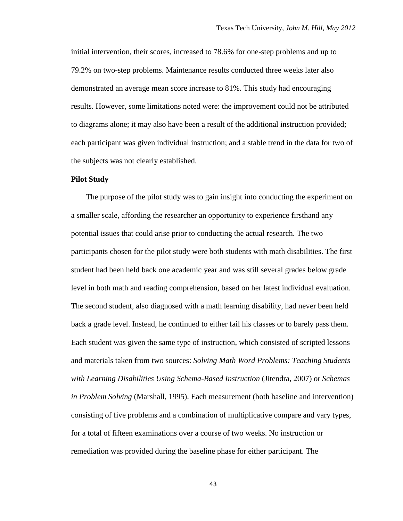initial intervention, their scores, increased to 78.6% for one-step problems and up to 79.2% on two-step problems. Maintenance results conducted three weeks later also demonstrated an average mean score increase to 81%. This study had encouraging results. However, some limitations noted were: the improvement could not be attributed to diagrams alone; it may also have been a result of the additional instruction provided; each participant was given individual instruction; and a stable trend in the data for two of the subjects was not clearly established.

#### **Pilot Study**

The purpose of the pilot study was to gain insight into conducting the experiment on a smaller scale, affording the researcher an opportunity to experience firsthand any potential issues that could arise prior to conducting the actual research. The two participants chosen for the pilot study were both students with math disabilities. The first student had been held back one academic year and was still several grades below grade level in both math and reading comprehension, based on her latest individual evaluation. The second student, also diagnosed with a math learning disability, had never been held back a grade level. Instead, he continued to either fail his classes or to barely pass them. Each student was given the same type of instruction, which consisted of scripted lessons and materials taken from two sources: *Solving Math Word Problems: Teaching Students with Learning Disabilities Using Schema-Based Instruction* (Jitendra, 2007) or *Schemas in Problem Solving* (Marshall, 1995). Each measurement (both baseline and intervention) consisting of five problems and a combination of multiplicative compare and vary types, for a total of fifteen examinations over a course of two weeks. No instruction or remediation was provided during the baseline phase for either participant. The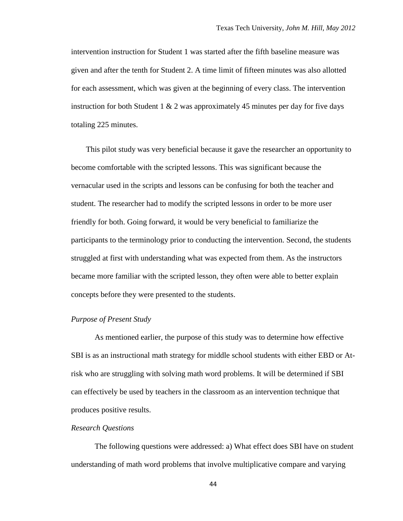intervention instruction for Student 1 was started after the fifth baseline measure was given and after the tenth for Student 2. A time limit of fifteen minutes was also allotted for each assessment, which was given at the beginning of every class. The intervention instruction for both Student 1  $& 2$  was approximately 45 minutes per day for five days totaling 225 minutes.

This pilot study was very beneficial because it gave the researcher an opportunity to become comfortable with the scripted lessons. This was significant because the vernacular used in the scripts and lessons can be confusing for both the teacher and student. The researcher had to modify the scripted lessons in order to be more user friendly for both. Going forward, it would be very beneficial to familiarize the participants to the terminology prior to conducting the intervention. Second, the students struggled at first with understanding what was expected from them. As the instructors became more familiar with the scripted lesson, they often were able to better explain concepts before they were presented to the students.

## *Purpose of Present Study*

As mentioned earlier, the purpose of this study was to determine how effective SBI is as an instructional math strategy for middle school students with either EBD or Atrisk who are struggling with solving math word problems. It will be determined if SBI can effectively be used by teachers in the classroom as an intervention technique that produces positive results.

## *Research Questions*

The following questions were addressed: a) What effect does SBI have on student understanding of math word problems that involve multiplicative compare and varying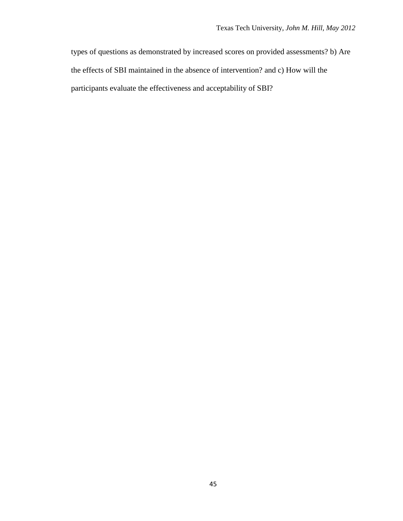types of questions as demonstrated by increased scores on provided assessments? b) Are the effects of SBI maintained in the absence of intervention? and c) How will the participants evaluate the effectiveness and acceptability of SBI?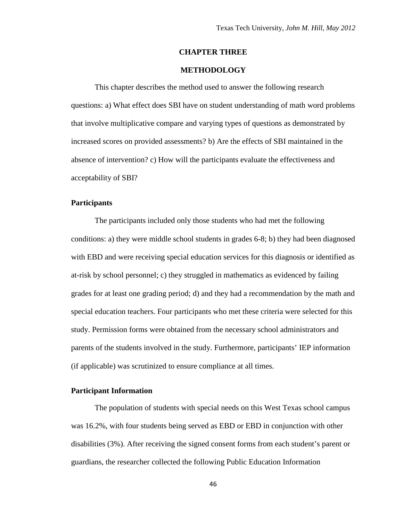### **CHAPTER THREE**

# **METHODOLOGY**

This chapter describes the method used to answer the following research questions: a) What effect does SBI have on student understanding of math word problems that involve multiplicative compare and varying types of questions as demonstrated by increased scores on provided assessments? b) Are the effects of SBI maintained in the absence of intervention? c) How will the participants evaluate the effectiveness and acceptability of SBI?

## **Participants**

The participants included only those students who had met the following conditions: a) they were middle school students in grades 6-8; b) they had been diagnosed with EBD and were receiving special education services for this diagnosis or identified as at-risk by school personnel; c) they struggled in mathematics as evidenced by failing grades for at least one grading period; d) and they had a recommendation by the math and special education teachers. Four participants who met these criteria were selected for this study. Permission forms were obtained from the necessary school administrators and parents of the students involved in the study. Furthermore, participants' IEP information (if applicable) was scrutinized to ensure compliance at all times.

# **Participant Information**

The population of students with special needs on this West Texas school campus was 16.2%, with four students being served as EBD or EBD in conjunction with other disabilities (3%). After receiving the signed consent forms from each student's parent or guardians, the researcher collected the following Public Education Information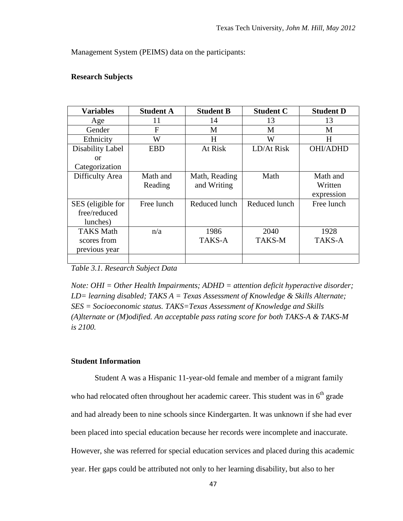Management System (PEIMS) data on the participants:

# **Research Subjects**

| <b>Variables</b>  | <b>Student A</b> | <b>Student B</b> | <b>Student C</b> | <b>Student D</b> |
|-------------------|------------------|------------------|------------------|------------------|
| Age               | 11               | 14               | 13               | 13               |
| Gender            | F                | M                | M                | M                |
| Ethnicity         | W                | H                | W                | H                |
| Disability Label  | <b>EBD</b>       | At Risk          | LD/At Risk       | <b>OHI/ADHD</b>  |
| or                |                  |                  |                  |                  |
| Categorization    |                  |                  |                  |                  |
| Difficulty Area   | Math and         | Math, Reading    | Math             | Math and         |
|                   | Reading          | and Writing      |                  | Written          |
|                   |                  |                  |                  | expression       |
| SES (eligible for | Free lunch       | Reduced lunch    | Reduced lunch    | Free lunch       |
| free/reduced      |                  |                  |                  |                  |
| lunches)          |                  |                  |                  |                  |
| <b>TAKS Math</b>  | n/a              | 1986             | 2040             | 1928             |
| scores from       |                  | TAKS-A           | <b>TAKS-M</b>    | TAKS-A           |
| previous year     |                  |                  |                  |                  |
|                   |                  |                  |                  |                  |

*Table 3.1. Research Subject Data*

*Note: OHI = Other Health Impairments; ADHD = attention deficit hyperactive disorder; LD= learning disabled; TAKS A = Texas Assessment of Knowledge & Skills Alternate; SES = Socioeconomic status. TAKS=Texas Assessment of Knowledge and Skills (A)lternate or (M)odified. An acceptable pass rating score for both TAKS-A & TAKS-M is 2100.* 

# **Student Information**

Student A was a Hispanic 11-year-old female and member of a migrant family who had relocated often throughout her academic career. This student was in  $6<sup>th</sup>$  grade and had already been to nine schools since Kindergarten. It was unknown if she had ever been placed into special education because her records were incomplete and inaccurate. However, she was referred for special education services and placed during this academic year. Her gaps could be attributed not only to her learning disability, but also to her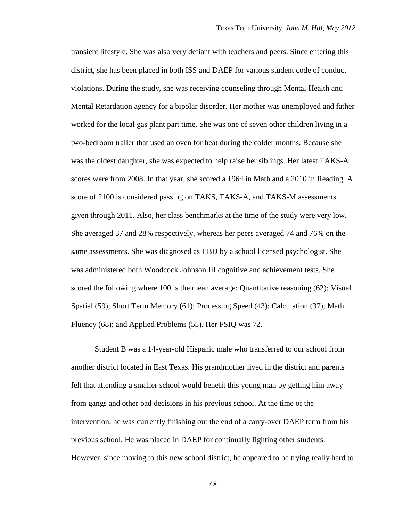transient lifestyle. She was also very defiant with teachers and peers. Since entering this district, she has been placed in both ISS and DAEP for various student code of conduct violations. During the study, she was receiving counseling through Mental Health and Mental Retardation agency for a bipolar disorder. Her mother was unemployed and father worked for the local gas plant part time. She was one of seven other children living in a two-bedroom trailer that used an oven for heat during the colder months. Because she was the oldest daughter, she was expected to help raise her siblings. Her latest TAKS-A scores were from 2008. In that year, she scored a 1964 in Math and a 2010 in Reading. A score of 2100 is considered passing on TAKS, TAKS-A, and TAKS-M assessments given through 2011. Also, her class benchmarks at the time of the study were very low. She averaged 37 and 28% respectively, whereas her peers averaged 74 and 76% on the same assessments. She was diagnosed as EBD by a school licensed psychologist. She was administered both Woodcock Johnson III cognitive and achievement tests. She scored the following where 100 is the mean average: Quantitative reasoning (62); Visual Spatial (59); Short Term Memory (61); Processing Speed (43); Calculation (37); Math Fluency (68); and Applied Problems (55). Her FSIQ was 72.

Student B was a 14-year-old Hispanic male who transferred to our school from another district located in East Texas. His grandmother lived in the district and parents felt that attending a smaller school would benefit this young man by getting him away from gangs and other bad decisions in his previous school. At the time of the intervention, he was currently finishing out the end of a carry-over DAEP term from his previous school. He was placed in DAEP for continually fighting other students. However, since moving to this new school district, he appeared to be trying really hard to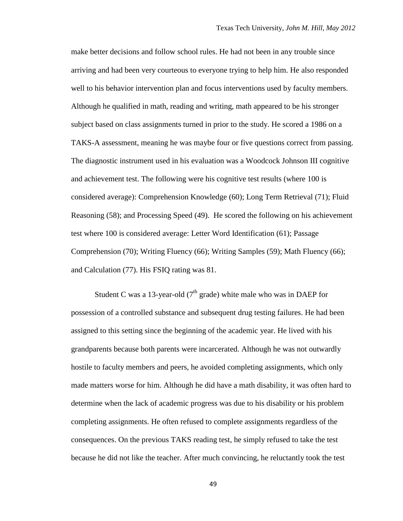make better decisions and follow school rules. He had not been in any trouble since arriving and had been very courteous to everyone trying to help him. He also responded well to his behavior intervention plan and focus interventions used by faculty members. Although he qualified in math, reading and writing, math appeared to be his stronger subject based on class assignments turned in prior to the study. He scored a 1986 on a TAKS-A assessment, meaning he was maybe four or five questions correct from passing. The diagnostic instrument used in his evaluation was a Woodcock Johnson III cognitive and achievement test. The following were his cognitive test results (where 100 is considered average): Comprehension Knowledge (60); Long Term Retrieval (71); Fluid Reasoning (58); and Processing Speed (49). He scored the following on his achievement test where 100 is considered average: Letter Word Identification (61); Passage Comprehension (70); Writing Fluency (66); Writing Samples (59); Math Fluency (66); and Calculation (77). His FSIQ rating was 81.

Student C was a 13-year-old ( $7<sup>th</sup>$  grade) white male who was in DAEP for possession of a controlled substance and subsequent drug testing failures. He had been assigned to this setting since the beginning of the academic year. He lived with his grandparents because both parents were incarcerated. Although he was not outwardly hostile to faculty members and peers, he avoided completing assignments, which only made matters worse for him. Although he did have a math disability, it was often hard to determine when the lack of academic progress was due to his disability or his problem completing assignments. He often refused to complete assignments regardless of the consequences. On the previous TAKS reading test, he simply refused to take the test because he did not like the teacher. After much convincing, he reluctantly took the test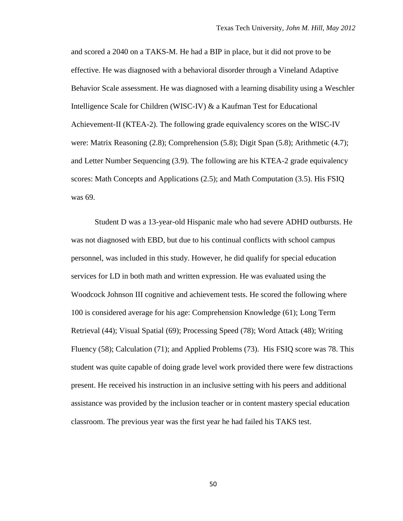and scored a 2040 on a TAKS-M. He had a BIP in place, but it did not prove to be effective. He was diagnosed with a behavioral disorder through a Vineland Adaptive Behavior Scale assessment. He was diagnosed with a learning disability using a Weschler Intelligence Scale for Children (WISC-IV) & a Kaufman Test for Educational Achievement-II (KTEA-2). The following grade equivalency scores on the WISC-IV were: Matrix Reasoning (2.8); Comprehension (5.8); Digit Span (5.8); Arithmetic (4.7); and Letter Number Sequencing (3.9). The following are his KTEA-2 grade equivalency scores: Math Concepts and Applications (2.5); and Math Computation (3.5). His FSIQ was 69.

Student D was a 13-year-old Hispanic male who had severe ADHD outbursts. He was not diagnosed with EBD, but due to his continual conflicts with school campus personnel, was included in this study. However, he did qualify for special education services for LD in both math and written expression. He was evaluated using the Woodcock Johnson III cognitive and achievement tests. He scored the following where 100 is considered average for his age: Comprehension Knowledge (61); Long Term Retrieval (44); Visual Spatial (69); Processing Speed (78); Word Attack (48); Writing Fluency (58); Calculation (71); and Applied Problems (73). His FSIQ score was 78. This student was quite capable of doing grade level work provided there were few distractions present. He received his instruction in an inclusive setting with his peers and additional assistance was provided by the inclusion teacher or in content mastery special education classroom. The previous year was the first year he had failed his TAKS test.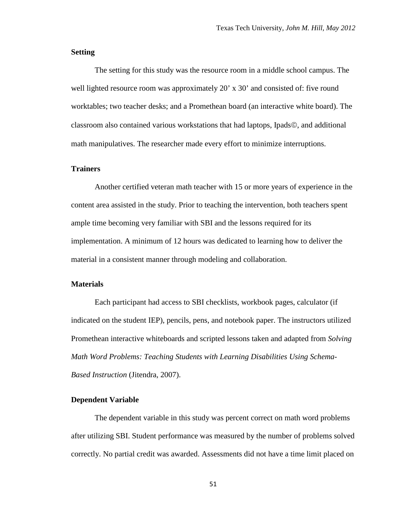## **Setting**

The setting for this study was the resource room in a middle school campus. The well lighted resource room was approximately 20' x 30' and consisted of: five round worktables; two teacher desks; and a Promethean board (an interactive white board). The classroom also contained various workstations that had laptops, Ipads©, and additional math manipulatives. The researcher made every effort to minimize interruptions.

#### **Trainers**

Another certified veteran math teacher with 15 or more years of experience in the content area assisted in the study. Prior to teaching the intervention, both teachers spent ample time becoming very familiar with SBI and the lessons required for its implementation. A minimum of 12 hours was dedicated to learning how to deliver the material in a consistent manner through modeling and collaboration.

## **Materials**

Each participant had access to SBI checklists, workbook pages, calculator (if indicated on the student IEP), pencils, pens, and notebook paper. The instructors utilized Promethean interactive whiteboards and scripted lessons taken and adapted from *Solving Math Word Problems: Teaching Students with Learning Disabilities Using Schema-Based Instruction* (Jitendra, 2007).

## **Dependent Variable**

The dependent variable in this study was percent correct on math word problems after utilizing SBI. Student performance was measured by the number of problems solved correctly. No partial credit was awarded. Assessments did not have a time limit placed on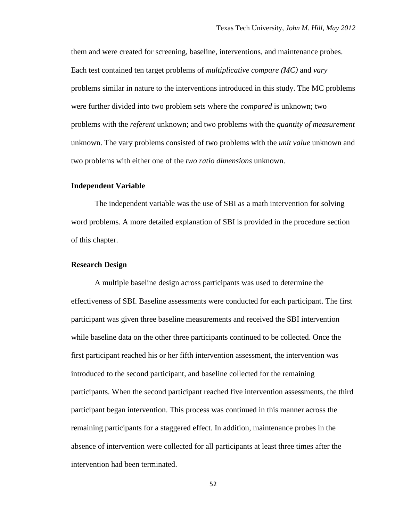them and were created for screening, baseline, interventions, and maintenance probes. Each test contained ten target problems of *multiplicative compare (MC)* and *vary* problems similar in nature to the interventions introduced in this study. The MC problems were further divided into two problem sets where the *compared* is unknown; two problems with the *referent* unknown; and two problems with the *quantity of measurement* unknown. The vary problems consisted of two problems with the *unit value* unknown and two problems with either one of the *two ratio dimensions* unknown.

## **Independent Variable**

The independent variable was the use of SBI as a math intervention for solving word problems. A more detailed explanation of SBI is provided in the procedure section of this chapter.

### **Research Design**

A multiple baseline design across participants was used to determine the effectiveness of SBI. Baseline assessments were conducted for each participant. The first participant was given three baseline measurements and received the SBI intervention while baseline data on the other three participants continued to be collected. Once the first participant reached his or her fifth intervention assessment, the intervention was introduced to the second participant, and baseline collected for the remaining participants. When the second participant reached five intervention assessments, the third participant began intervention. This process was continued in this manner across the remaining participants for a staggered effect. In addition, maintenance probes in the absence of intervention were collected for all participants at least three times after the intervention had been terminated.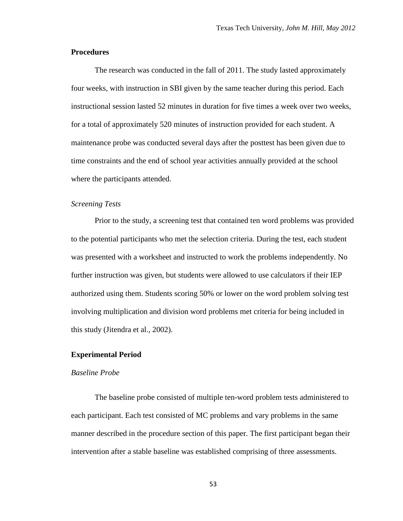## **Procedures**

The research was conducted in the fall of 2011. The study lasted approximately four weeks, with instruction in SBI given by the same teacher during this period. Each instructional session lasted 52 minutes in duration for five times a week over two weeks, for a total of approximately 520 minutes of instruction provided for each student. A maintenance probe was conducted several days after the posttest has been given due to time constraints and the end of school year activities annually provided at the school where the participants attended.

## *Screening Tests*

Prior to the study, a screening test that contained ten word problems was provided to the potential participants who met the selection criteria. During the test, each student was presented with a worksheet and instructed to work the problems independently. No further instruction was given, but students were allowed to use calculators if their IEP authorized using them. Students scoring 50% or lower on the word problem solving test involving multiplication and division word problems met criteria for being included in this study (Jitendra et al., 2002).

### **Experimental Period**

#### *Baseline Probe*

The baseline probe consisted of multiple ten-word problem tests administered to each participant. Each test consisted of MC problems and vary problems in the same manner described in the procedure section of this paper. The first participant began their intervention after a stable baseline was established comprising of three assessments.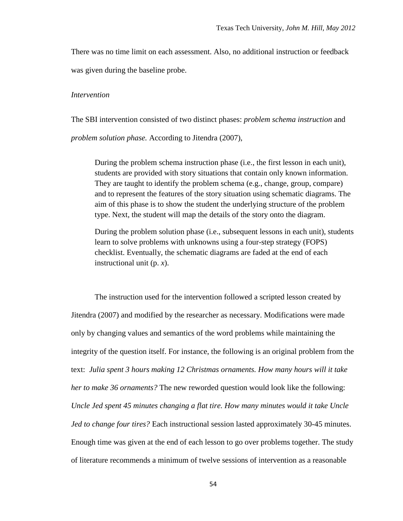There was no time limit on each assessment. Also, no additional instruction or feedback was given during the baseline probe.

#### *Intervention*

The SBI intervention consisted of two distinct phases: *problem schema instruction* and *problem solution phase.* According to Jitendra (2007),

During the problem schema instruction phase (i.e., the first lesson in each unit), students are provided with story situations that contain only known information. They are taught to identify the problem schema (e.g., change, group, compare) and to represent the features of the story situation using schematic diagrams. The aim of this phase is to show the student the underlying structure of the problem type. Next, the student will map the details of the story onto the diagram.

During the problem solution phase (i.e., subsequent lessons in each unit), students learn to solve problems with unknowns using a four-step strategy (FOPS) checklist. Eventually, the schematic diagrams are faded at the end of each instructional unit (p. *x*).

The instruction used for the intervention followed a scripted lesson created by Jitendra (2007) and modified by the researcher as necessary. Modifications were made only by changing values and semantics of the word problems while maintaining the integrity of the question itself. For instance, the following is an original problem from the text: *Julia spent 3 hours making 12 Christmas ornaments. How many hours will it take her to make 36 ornaments?* The new reworded question would look like the following: *Uncle Jed spent 45 minutes changing a flat tire. How many minutes would it take Uncle Jed to change four tires?* Each instructional session lasted approximately 30-45 minutes. Enough time was given at the end of each lesson to go over problems together. The study of literature recommends a minimum of twelve sessions of intervention as a reasonable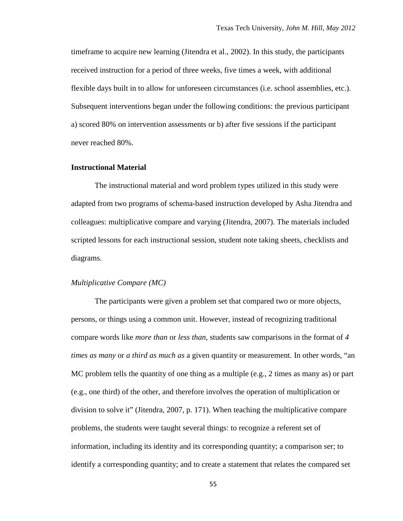timeframe to acquire new learning (Jitendra et al., 2002). In this study, the participants received instruction for a period of three weeks, five times a week, with additional flexible days built in to allow for unforeseen circumstances (i.e. school assemblies, etc.). Subsequent interventions began under the following conditions: the previous participant a) scored 80% on intervention assessments or b) after five sessions if the participant never reached 80%.

#### **Instructional Material**

The instructional material and word problem types utilized in this study were adapted from two programs of schema-based instruction developed by Asha Jitendra and colleagues: multiplicative compare and varying (Jitendra, 2007). The materials included scripted lessons for each instructional session, student note taking sheets, checklists and diagrams.

## *Multiplicative Compare (MC)*

The participants were given a problem set that compared two or more objects, persons, or things using a common unit. However, instead of recognizing traditional compare words like *more than* or *less than*, students saw comparisons in the format of *4 times as many* or *a third as much as* a given quantity or measurement. In other words, "an MC problem tells the quantity of one thing as a multiple (e.g., 2 times as many as) or part (e.g., one third) of the other, and therefore involves the operation of multiplication or division to solve it" (Jitendra, 2007, p. 171). When teaching the multiplicative compare problems, the students were taught several things: to recognize a referent set of information, including its identity and its corresponding quantity; a comparison ser; to identify a corresponding quantity; and to create a statement that relates the compared set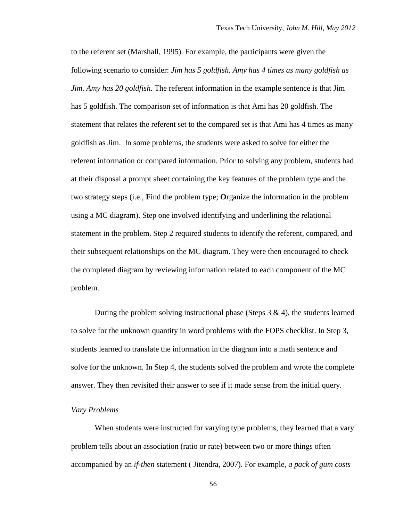to the referent set (Marshall, 1995). For example, the participants were given the following scenario to consider: *Jim has 5 goldfish. Amy has 4 times as many goldfish as Jim. Amy has 20 goldfish.* The referent information in the example sentence is that Jim has 5 goldfish. The comparison set of information is that Ami has 20 goldfish. The statement that relates the referent set to the compared set is that Ami has 4 times as many goldfish as Jim. In some problems, the students were asked to solve for either the referent information or compared information. Prior to solving any problem, students had at their disposal a prompt sheet containing the key features of the problem type and the two strategy steps (i.e., **F**ind the problem type; **O**rganize the information in the problem using a MC diagram). Step one involved identifying and underlining the relational statement in the problem. Step 2 required students to identify the referent, compared, and their subsequent relationships on the MC diagram. They were then encouraged to check the completed diagram by reviewing information related to each component of the MC problem.

During the problem solving instructional phase (Steps  $3 \& 4$ ), the students learned to solve for the unknown quantity in word problems with the FOPS checklist. In Step 3, students learned to translate the information in the diagram into a math sentence and solve for the unknown. In Step 4, the students solved the problem and wrote the complete answer. They then revisited their answer to see if it made sense from the initial query.

#### *Vary Problems*

When students were instructed for varying type problems, they learned that a vary problem tells about an association (ratio or rate) between two or more things often accompanied by an *if-then* statement ( Jitendra, 2007). For example, *a pack of gum costs*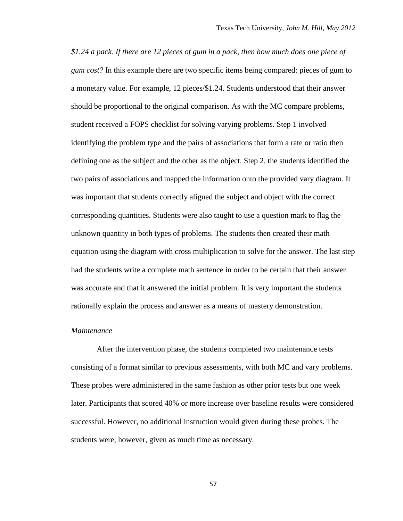*\$1.24 a pack. If there are 12 pieces of gum in a pack, then how much does one piece of gum cost?* In this example there are two specific items being compared: pieces of gum to a monetary value. For example, 12 pieces/\$1.24. Students understood that their answer should be proportional to the original comparison. As with the MC compare problems, student received a FOPS checklist for solving varying problems. Step 1 involved identifying the problem type and the pairs of associations that form a rate or ratio then defining one as the subject and the other as the object. Step 2, the students identified the two pairs of associations and mapped the information onto the provided vary diagram. It was important that students correctly aligned the subject and object with the correct corresponding quantities. Students were also taught to use a question mark to flag the unknown quantity in both types of problems. The students then created their math equation using the diagram with cross multiplication to solve for the answer. The last step had the students write a complete math sentence in order to be certain that their answer was accurate and that it answered the initial problem. It is very important the students rationally explain the process and answer as a means of mastery demonstration.

## *Maintenance*

After the intervention phase, the students completed two maintenance tests consisting of a format similar to previous assessments, with both MC and vary problems. These probes were administered in the same fashion as other prior tests but one week later. Participants that scored 40% or more increase over baseline results were considered successful. However, no additional instruction would given during these probes. The students were, however, given as much time as necessary.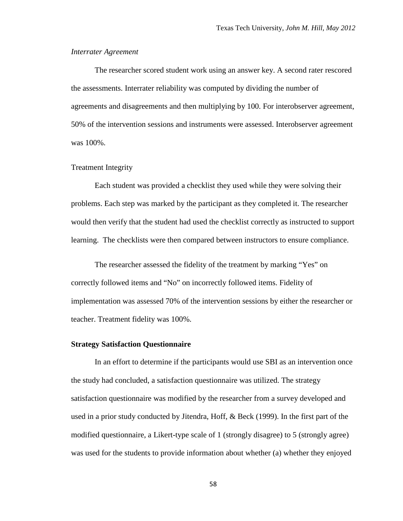#### *Interrater Agreement*

The researcher scored student work using an answer key. A second rater rescored the assessments. Interrater reliability was computed by dividing the number of agreements and disagreements and then multiplying by 100. For interobserver agreement, 50% of the intervention sessions and instruments were assessed. Interobserver agreement was 100%.

#### Treatment Integrity

Each student was provided a checklist they used while they were solving their problems. Each step was marked by the participant as they completed it. The researcher would then verify that the student had used the checklist correctly as instructed to support learning. The checklists were then compared between instructors to ensure compliance.

The researcher assessed the fidelity of the treatment by marking "Yes" on correctly followed items and "No" on incorrectly followed items. Fidelity of implementation was assessed 70% of the intervention sessions by either the researcher or teacher. Treatment fidelity was 100%.

#### **Strategy Satisfaction Questionnaire**

In an effort to determine if the participants would use SBI as an intervention once the study had concluded, a satisfaction questionnaire was utilized. The strategy satisfaction questionnaire was modified by the researcher from a survey developed and used in a prior study conducted by Jitendra, Hoff, & Beck (1999). In the first part of the modified questionnaire, a Likert-type scale of 1 (strongly disagree) to 5 (strongly agree) was used for the students to provide information about whether (a) whether they enjoyed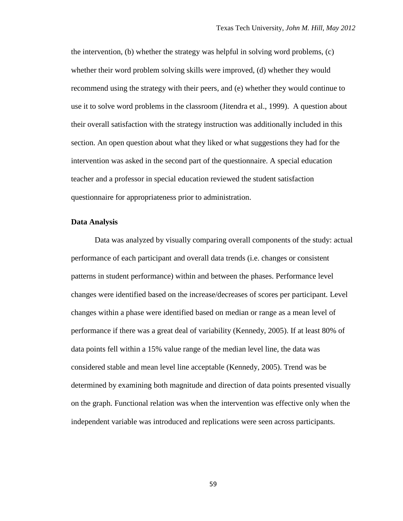the intervention, (b) whether the strategy was helpful in solving word problems, (c) whether their word problem solving skills were improved, (d) whether they would recommend using the strategy with their peers, and (e) whether they would continue to use it to solve word problems in the classroom (Jitendra et al., 1999). A question about their overall satisfaction with the strategy instruction was additionally included in this section. An open question about what they liked or what suggestions they had for the intervention was asked in the second part of the questionnaire. A special education teacher and a professor in special education reviewed the student satisfaction questionnaire for appropriateness prior to administration.

#### **Data Analysis**

Data was analyzed by visually comparing overall components of the study: actual performance of each participant and overall data trends (i.e. changes or consistent patterns in student performance) within and between the phases. Performance level changes were identified based on the increase/decreases of scores per participant. Level changes within a phase were identified based on median or range as a mean level of performance if there was a great deal of variability (Kennedy, 2005). If at least 80% of data points fell within a 15% value range of the median level line, the data was considered stable and mean level line acceptable (Kennedy, 2005). Trend was be determined by examining both magnitude and direction of data points presented visually on the graph. Functional relation was when the intervention was effective only when the independent variable was introduced and replications were seen across participants.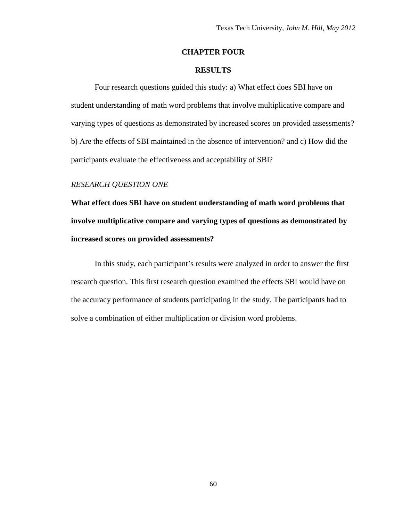# **CHAPTER FOUR**

# **RESULTS**

Four research questions guided this study: a) What effect does SBI have on student understanding of math word problems that involve multiplicative compare and varying types of questions as demonstrated by increased scores on provided assessments? b) Are the effects of SBI maintained in the absence of intervention? and c) How did the participants evaluate the effectiveness and acceptability of SBI?

# *RESEARCH QUESTION ONE*

**What effect does SBI have on student understanding of math word problems that involve multiplicative compare and varying types of questions as demonstrated by increased scores on provided assessments?**

In this study, each participant's results were analyzed in order to answer the first research question. This first research question examined the effects SBI would have on the accuracy performance of students participating in the study. The participants had to solve a combination of either multiplication or division word problems.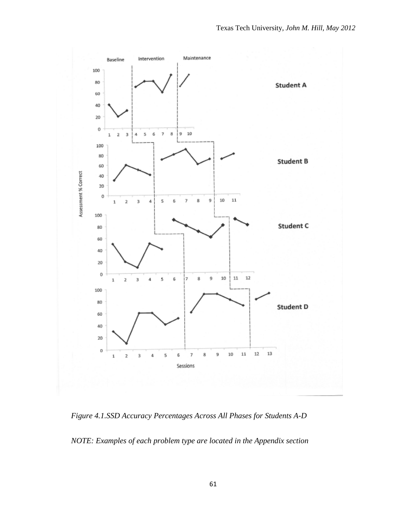

*Figure 4.1.SSD Accuracy Percentages Across All Phases for Students A-D*

*NOTE: Examples of each problem type are located in the Appendix section*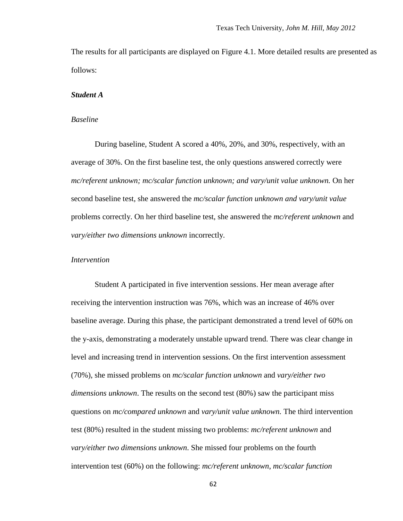The results for all participants are displayed on Figure 4.1. More detailed results are presented as follows:

#### *Student A*

# *Baseline*

During baseline, Student A scored a 40%, 20%, and 30%, respectively, with an average of 30%. On the first baseline test, the only questions answered correctly were *mc/referent unknown; mc/scalar function unknown; and vary/unit value unknown.* On her second baseline test, she answered the *mc/scalar function unknown and vary/unit value*  problems correctly. On her third baseline test, she answered the *mc/referent unknown* and *vary/either two dimensions unknown* incorrectly*.* 

## *Intervention*

Student A participated in five intervention sessions. Her mean average after receiving the intervention instruction was 76%, which was an increase of 46% over baseline average. During this phase, the participant demonstrated a trend level of 60% on the y-axis, demonstrating a moderately unstable upward trend. There was clear change in level and increasing trend in intervention sessions. On the first intervention assessment (70%), she missed problems on *mc/scalar function unknown* and *vary/either two dimensions unknown*. The results on the second test (80%) saw the participant miss questions on *mc/compared unknown* and *vary/unit value unknown.* The third intervention test (80%) resulted in the student missing two problems: *mc/referent unknown* and *vary/either two dimensions unknown*. She missed four problems on the fourth intervention test (60%) on the following: *mc/referent unknown*, *mc/scalar function*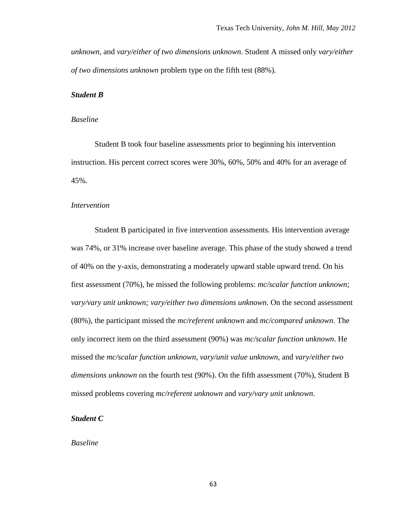*unknown,* and *vary/either of two dimensions unknown*. Student A missed only *vary/either of two dimensions unknown* problem type on the fifth test (88%).

#### *Student B*

## *Baseline*

Student B took four baseline assessments prior to beginning his intervention instruction. His percent correct scores were 30%, 60%, 50% and 40% for an average of 45%.

## *Intervention*

Student B participated in five intervention assessments. His intervention average was 74%, or 31% increase over baseline average. This phase of the study showed a trend of 40% on the y-axis, demonstrating a moderately upward stable upward trend. On his first assessment (70%), he missed the following problems: *mc/scalar function unknown*; *vary/vary unit unknown; vary/either two dimensions unknown*. On the second assessment (80%), the participant missed the *mc/referent unknown* and *mc/compared unknown*. The only incorrect item on the third assessment (90%) was *mc/scalar function unknown*. He missed the *mc/scalar function unknown, vary/unit value unknown,* and *vary/either two dimensions unknown* on the fourth test (90%). On the fifth assessment (70%), Student B missed problems covering *mc/referent unknown* and *vary/vary unit unknown*.

#### *Student C*

#### *Baseline*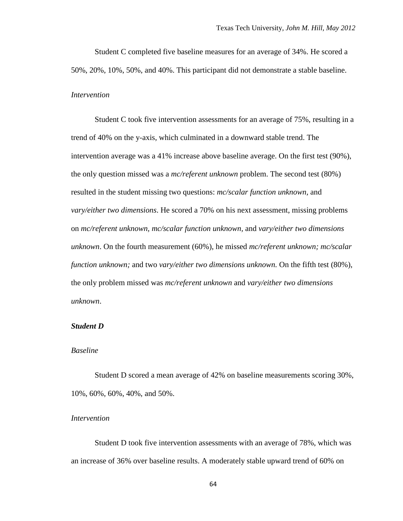Student C completed five baseline measures for an average of 34%. He scored a 50%, 20%, 10%, 50%, and 40%. This participant did not demonstrate a stable baseline. *Intervention*

Student C took five intervention assessments for an average of 75%, resulting in a trend of 40% on the y-axis, which culminated in a downward stable trend. The intervention average was a 41% increase above baseline average. On the first test (90%), the only question missed was a *mc/referent unknown* problem. The second test (80%) resulted in the student missing two questions: *mc/scalar function unknown,* and *vary/either two dimensions*. He scored a 70% on his next assessment, missing problems on *mc/referent unknown, mc/scalar function unknown,* and *vary/either two dimensions unknown*. On the fourth measurement (60%), he missed *mc/referent unknown; mc/scalar function unknown;* and two *vary/either two dimensions unknown.* On the fifth test (80%), the only problem missed was *mc/referent unknown* and *vary/either two dimensions unknown*.

#### *Student D*

# *Baseline*

Student D scored a mean average of 42% on baseline measurements scoring 30%, 10%, 60%, 60%, 40%, and 50%.

#### *Intervention*

Student D took five intervention assessments with an average of 78%, which was an increase of 36% over baseline results. A moderately stable upward trend of 60% on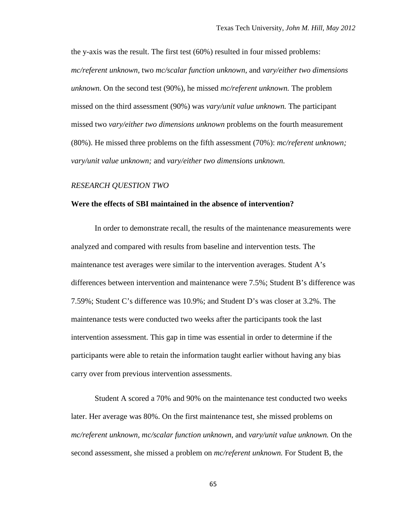the y-axis was the result. The first test (60%) resulted in four missed problems: *mc/referent unknown,* two *mc/scalar function unknown,* and *vary/either two dimensions unknown.* On the second test (90%), he missed *mc/referent unknown.* The problem missed on the third assessment (90%) was *vary/unit value unknown.* The participant missed two *vary/either two dimensions unknown* problems on the fourth measurement (80%). He missed three problems on the fifth assessment (70%): *mc/referent unknown; vary/unit value unknown;* and *vary/either two dimensions unknown.* 

#### *RESEARCH QUESTION TWO*

#### **Were the effects of SBI maintained in the absence of intervention?**

In order to demonstrate recall, the results of the maintenance measurements were analyzed and compared with results from baseline and intervention tests. The maintenance test averages were similar to the intervention averages. Student A's differences between intervention and maintenance were 7.5%; Student B's difference was 7.59%; Student C's difference was 10.9%; and Student D's was closer at 3.2%. The maintenance tests were conducted two weeks after the participants took the last intervention assessment. This gap in time was essential in order to determine if the participants were able to retain the information taught earlier without having any bias carry over from previous intervention assessments.

Student A scored a 70% and 90% on the maintenance test conducted two weeks later. Her average was 80%. On the first maintenance test, she missed problems on *mc/referent unknown, mc/scalar function unknown,* and *vary/unit value unknown.* On the second assessment, she missed a problem on *mc/referent unknown.* For Student B, the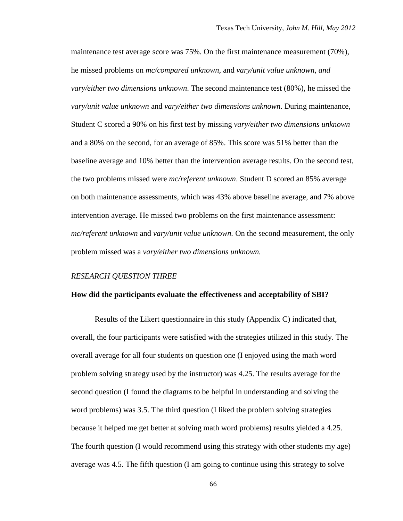maintenance test average score was 75%. On the first maintenance measurement (70%), he missed problems on *mc/compared unknown,* and *vary/unit value unknown, and vary/either two dimensions unknown*. The second maintenance test (80%), he missed the *vary/unit value unknown* and *vary/either two dimensions unknown.* During maintenance, Student C scored a 90% on his first test by missing *vary/either two dimensions unknown* and a 80% on the second, for an average of 85%. This score was 51% better than the baseline average and 10% better than the intervention average results. On the second test, the two problems missed were *mc/referent unknown*. Student D scored an 85% average on both maintenance assessments, which was 43% above baseline average, and 7% above intervention average. He missed two problems on the first maintenance assessment: *mc/referent unknown* and *vary/unit value unknown.* On the second measurement, the only problem missed was a *vary/either two dimensions unknown.* 

#### *RESEARCH QUESTION THREE*

#### **How did the participants evaluate the effectiveness and acceptability of SBI?**

Results of the Likert questionnaire in this study (Appendix C) indicated that, overall, the four participants were satisfied with the strategies utilized in this study. The overall average for all four students on question one (I enjoyed using the math word problem solving strategy used by the instructor) was 4.25. The results average for the second question (I found the diagrams to be helpful in understanding and solving the word problems) was 3.5. The third question (I liked the problem solving strategies because it helped me get better at solving math word problems) results yielded a 4.25. The fourth question (I would recommend using this strategy with other students my age) average was 4.5. The fifth question (I am going to continue using this strategy to solve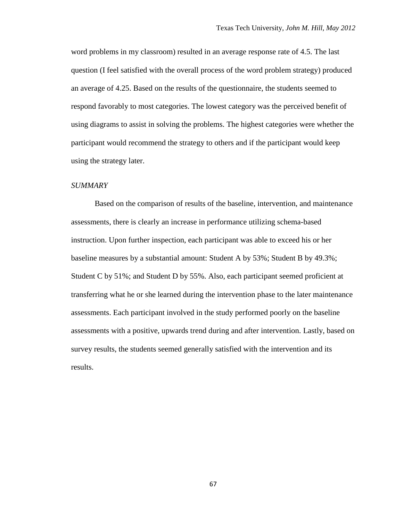word problems in my classroom) resulted in an average response rate of 4.5. The last question (I feel satisfied with the overall process of the word problem strategy) produced an average of 4.25. Based on the results of the questionnaire, the students seemed to respond favorably to most categories. The lowest category was the perceived benefit of using diagrams to assist in solving the problems. The highest categories were whether the participant would recommend the strategy to others and if the participant would keep using the strategy later.

#### *SUMMARY*

Based on the comparison of results of the baseline, intervention, and maintenance assessments, there is clearly an increase in performance utilizing schema-based instruction. Upon further inspection, each participant was able to exceed his or her baseline measures by a substantial amount: Student A by 53%; Student B by 49.3%; Student C by 51%; and Student D by 55%. Also, each participant seemed proficient at transferring what he or she learned during the intervention phase to the later maintenance assessments. Each participant involved in the study performed poorly on the baseline assessments with a positive, upwards trend during and after intervention. Lastly, based on survey results, the students seemed generally satisfied with the intervention and its results.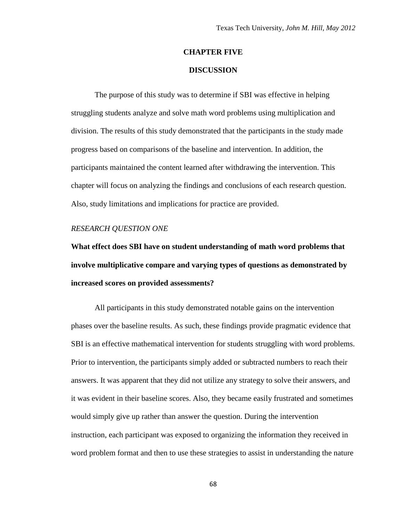## **CHAPTER FIVE**

## **DISCUSSION**

The purpose of this study was to determine if SBI was effective in helping struggling students analyze and solve math word problems using multiplication and division. The results of this study demonstrated that the participants in the study made progress based on comparisons of the baseline and intervention. In addition, the participants maintained the content learned after withdrawing the intervention. This chapter will focus on analyzing the findings and conclusions of each research question. Also, study limitations and implications for practice are provided.

# *RESEARCH QUESTION ONE*

**What effect does SBI have on student understanding of math word problems that involve multiplicative compare and varying types of questions as demonstrated by increased scores on provided assessments?**

All participants in this study demonstrated notable gains on the intervention phases over the baseline results. As such, these findings provide pragmatic evidence that SBI is an effective mathematical intervention for students struggling with word problems. Prior to intervention, the participants simply added or subtracted numbers to reach their answers. It was apparent that they did not utilize any strategy to solve their answers, and it was evident in their baseline scores. Also, they became easily frustrated and sometimes would simply give up rather than answer the question. During the intervention instruction, each participant was exposed to organizing the information they received in word problem format and then to use these strategies to assist in understanding the nature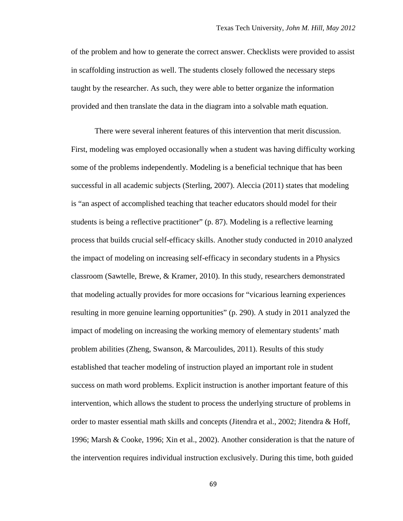of the problem and how to generate the correct answer. Checklists were provided to assist in scaffolding instruction as well. The students closely followed the necessary steps taught by the researcher. As such, they were able to better organize the information provided and then translate the data in the diagram into a solvable math equation.

There were several inherent features of this intervention that merit discussion. First, modeling was employed occasionally when a student was having difficulty working some of the problems independently. Modeling is a beneficial technique that has been successful in all academic subjects (Sterling, 2007). Aleccia (2011) states that modeling is "an aspect of accomplished teaching that teacher educators should model for their students is being a reflective practitioner" (p. 87). Modeling is a reflective learning process that builds crucial self-efficacy skills. Another study conducted in 2010 analyzed the impact of modeling on increasing self-efficacy in secondary students in a Physics classroom (Sawtelle, Brewe, & Kramer, 2010). In this study, researchers demonstrated that modeling actually provides for more occasions for "vicarious learning experiences resulting in more genuine learning opportunities" (p. 290). A study in 2011 analyzed the impact of modeling on increasing the working memory of elementary students' math problem abilities (Zheng, Swanson, & Marcoulides, 2011). Results of this study established that teacher modeling of instruction played an important role in student success on math word problems. Explicit instruction is another important feature of this intervention, which allows the student to process the underlying structure of problems in order to master essential math skills and concepts (Jitendra et al., 2002; Jitendra & Hoff, 1996; Marsh & Cooke, 1996; Xin et al., 2002). Another consideration is that the nature of the intervention requires individual instruction exclusively. During this time, both guided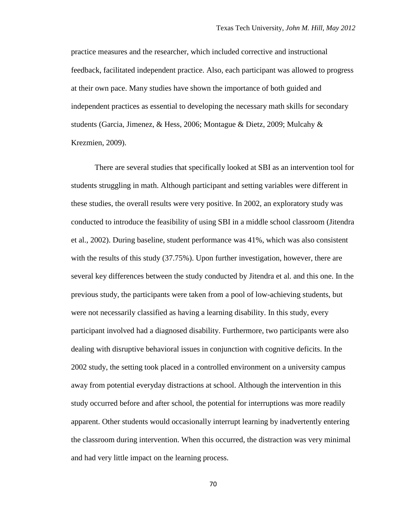practice measures and the researcher, which included corrective and instructional feedback, facilitated independent practice. Also, each participant was allowed to progress at their own pace. Many studies have shown the importance of both guided and independent practices as essential to developing the necessary math skills for secondary students (Garcia, Jimenez, & Hess, 2006; Montague & Dietz, 2009; Mulcahy & Krezmien, 2009).

There are several studies that specifically looked at SBI as an intervention tool for students struggling in math. Although participant and setting variables were different in these studies, the overall results were very positive. In 2002, an exploratory study was conducted to introduce the feasibility of using SBI in a middle school classroom (Jitendra et al., 2002). During baseline, student performance was 41%, which was also consistent with the results of this study (37.75%). Upon further investigation, however, there are several key differences between the study conducted by Jitendra et al. and this one. In the previous study, the participants were taken from a pool of low-achieving students, but were not necessarily classified as having a learning disability. In this study, every participant involved had a diagnosed disability. Furthermore, two participants were also dealing with disruptive behavioral issues in conjunction with cognitive deficits. In the 2002 study, the setting took placed in a controlled environment on a university campus away from potential everyday distractions at school. Although the intervention in this study occurred before and after school, the potential for interruptions was more readily apparent. Other students would occasionally interrupt learning by inadvertently entering the classroom during intervention. When this occurred, the distraction was very minimal and had very little impact on the learning process.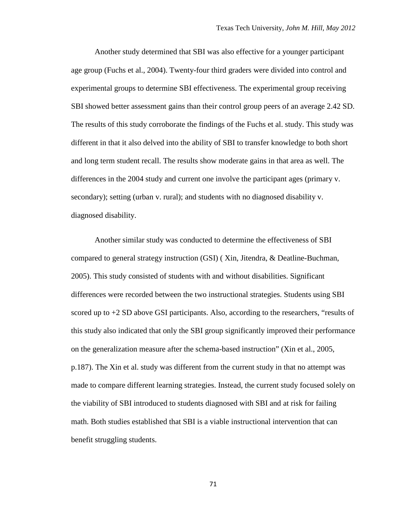Another study determined that SBI was also effective for a younger participant age group (Fuchs et al., 2004). Twenty-four third graders were divided into control and experimental groups to determine SBI effectiveness. The experimental group receiving SBI showed better assessment gains than their control group peers of an average 2.42 SD. The results of this study corroborate the findings of the Fuchs et al. study. This study was different in that it also delved into the ability of SBI to transfer knowledge to both short and long term student recall. The results show moderate gains in that area as well. The differences in the 2004 study and current one involve the participant ages (primary v. secondary); setting (urban v. rural); and students with no diagnosed disability v. diagnosed disability.

Another similar study was conducted to determine the effectiveness of SBI compared to general strategy instruction (GSI) ( Xin, Jitendra, & Deatline-Buchman, 2005). This study consisted of students with and without disabilities. Significant differences were recorded between the two instructional strategies. Students using SBI scored up to  $+2$  SD above GSI participants. Also, according to the researchers, "results of this study also indicated that only the SBI group significantly improved their performance on the generalization measure after the schema-based instruction" (Xin et al., 2005, p.187). The Xin et al. study was different from the current study in that no attempt was made to compare different learning strategies. Instead, the current study focused solely on the viability of SBI introduced to students diagnosed with SBI and at risk for failing math. Both studies established that SBI is a viable instructional intervention that can benefit struggling students.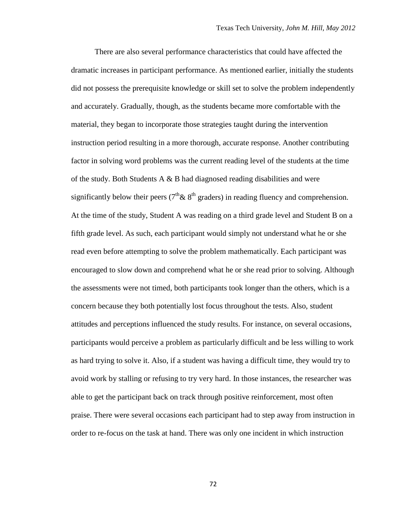There are also several performance characteristics that could have affected the dramatic increases in participant performance. As mentioned earlier, initially the students did not possess the prerequisite knowledge or skill set to solve the problem independently and accurately. Gradually, though, as the students became more comfortable with the material, they began to incorporate those strategies taught during the intervention instruction period resulting in a more thorough, accurate response. Another contributing factor in solving word problems was the current reading level of the students at the time of the study. Both Students A & B had diagnosed reading disabilities and were significantly below their peers ( $7<sup>th</sup> \& 8<sup>th</sup>$  graders) in reading fluency and comprehension. At the time of the study, Student A was reading on a third grade level and Student B on a fifth grade level. As such, each participant would simply not understand what he or she read even before attempting to solve the problem mathematically. Each participant was encouraged to slow down and comprehend what he or she read prior to solving. Although the assessments were not timed, both participants took longer than the others, which is a concern because they both potentially lost focus throughout the tests. Also, student attitudes and perceptions influenced the study results. For instance, on several occasions, participants would perceive a problem as particularly difficult and be less willing to work as hard trying to solve it. Also, if a student was having a difficult time, they would try to avoid work by stalling or refusing to try very hard. In those instances, the researcher was able to get the participant back on track through positive reinforcement, most often praise. There were several occasions each participant had to step away from instruction in order to re-focus on the task at hand. There was only one incident in which instruction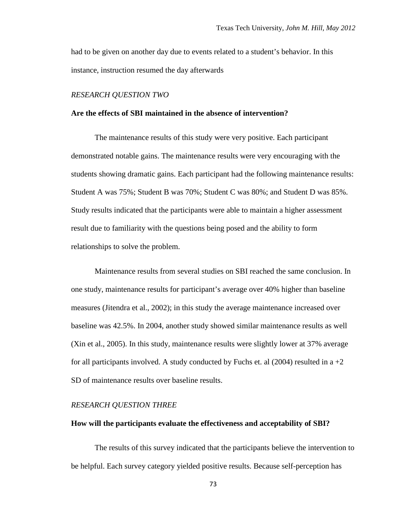had to be given on another day due to events related to a student's behavior. In this instance, instruction resumed the day afterwards

#### *RESEARCH QUESTION TWO*

### **Are the effects of SBI maintained in the absence of intervention?**

The maintenance results of this study were very positive. Each participant demonstrated notable gains. The maintenance results were very encouraging with the students showing dramatic gains. Each participant had the following maintenance results: Student A was 75%; Student B was 70%; Student C was 80%; and Student D was 85%. Study results indicated that the participants were able to maintain a higher assessment result due to familiarity with the questions being posed and the ability to form relationships to solve the problem.

Maintenance results from several studies on SBI reached the same conclusion. In one study, maintenance results for participant's average over 40% higher than baseline measures (Jitendra et al., 2002); in this study the average maintenance increased over baseline was 42.5%. In 2004, another study showed similar maintenance results as well (Xin et al., 2005). In this study, maintenance results were slightly lower at 37% average for all participants involved. A study conducted by Fuchs et. al  $(2004)$  resulted in a  $+2$ SD of maintenance results over baseline results.

# *RESEARCH QUESTION THREE*

## **How will the participants evaluate the effectiveness and acceptability of SBI?**

The results of this survey indicated that the participants believe the intervention to be helpful. Each survey category yielded positive results. Because self-perception has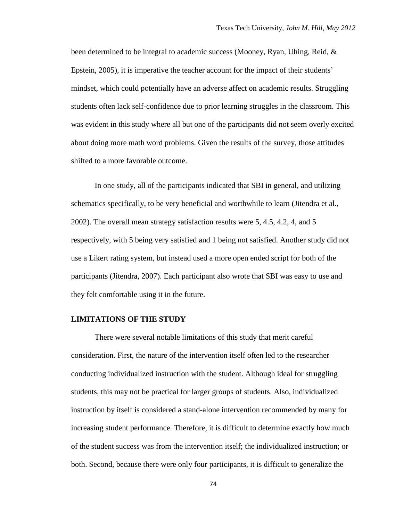been determined to be integral to academic success (Mooney, Ryan, Uhing, Reid, & Epstein, 2005), it is imperative the teacher account for the impact of their students' mindset, which could potentially have an adverse affect on academic results. Struggling students often lack self-confidence due to prior learning struggles in the classroom. This was evident in this study where all but one of the participants did not seem overly excited about doing more math word problems. Given the results of the survey, those attitudes shifted to a more favorable outcome.

In one study, all of the participants indicated that SBI in general, and utilizing schematics specifically, to be very beneficial and worthwhile to learn (Jitendra et al., 2002). The overall mean strategy satisfaction results were 5, 4.5, 4.2, 4, and 5 respectively, with 5 being very satisfied and 1 being not satisfied. Another study did not use a Likert rating system, but instead used a more open ended script for both of the participants (Jitendra, 2007). Each participant also wrote that SBI was easy to use and they felt comfortable using it in the future.

# **LIMITATIONS OF THE STUDY**

There were several notable limitations of this study that merit careful consideration. First, the nature of the intervention itself often led to the researcher conducting individualized instruction with the student. Although ideal for struggling students, this may not be practical for larger groups of students. Also, individualized instruction by itself is considered a stand-alone intervention recommended by many for increasing student performance. Therefore, it is difficult to determine exactly how much of the student success was from the intervention itself; the individualized instruction; or both. Second, because there were only four participants, it is difficult to generalize the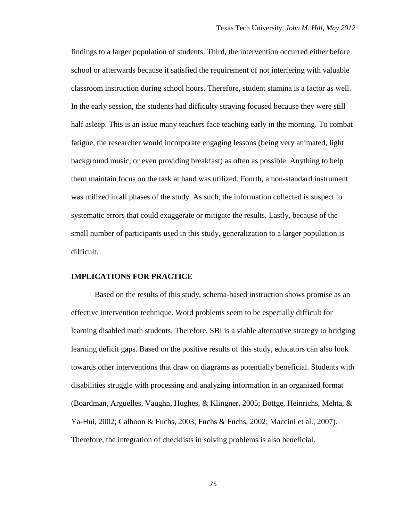findings to a larger population of students. Third, the intervention occurred either before school or afterwards because it satisfied the requirement of not interfering with valuable classroom instruction during school hours. Therefore, student stamina is a factor as well. In the early session, the students had difficulty straying focused because they were still half asleep. This is an issue many teachers face teaching early in the morning. To combat fatigue, the researcher would incorporate engaging lessons (being very animated, light background music, or even providing breakfast) as often as possible. Anything to help them maintain focus on the task at hand was utilized. Fourth, a non-standard instrument was utilized in all phases of the study. As such, the information collected is suspect to systematic errors that could exaggerate or mitigate the results. Lastly, because of the small number of participants used in this study, generalization to a larger population is difficult.

## **IMPLICATIONS FOR PRACTICE**

Based on the results of this study, schema-based instruction shows promise as an effective intervention technique. Word problems seem to be especially difficult for learning disabled math students. Therefore, SBI is a viable alternative strategy to bridging learning deficit gaps. Based on the positive results of this study, educators can also look towards other interventions that draw on diagrams as potentially beneficial. Students with disabilities struggle with processing and analyzing information in an organized format (Boardman, Arguelles, Vaughn, Hughes, & Klingner, 2005; Bottge, Heinrichs, Mehta, & Ya-Hui, 2002; Calhoon & Fuchs, 2003; Fuchs & Fuchs, 2002; Maccini et al., 2007). Therefore, the integration of checklists in solving problems is also beneficial.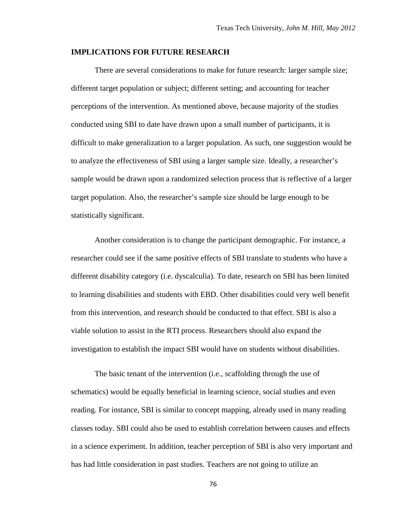#### **IMPLICATIONS FOR FUTURE RESEARCH**

There are several considerations to make for future research: larger sample size; different target population or subject; different setting; and accounting for teacher perceptions of the intervention. As mentioned above, because majority of the studies conducted using SBI to date have drawn upon a small number of participants, it is difficult to make generalization to a larger population. As such, one suggestion would be to analyze the effectiveness of SBI using a larger sample size. Ideally, a researcher's sample would be drawn upon a randomized selection process that is reflective of a larger target population. Also, the researcher's sample size should be large enough to be statistically significant.

Another consideration is to change the participant demographic. For instance, a researcher could see if the same positive effects of SBI translate to students who have a different disability category (i.e. dyscalculia). To date, research on SBI has been limited to learning disabilities and students with EBD. Other disabilities could very well benefit from this intervention, and research should be conducted to that effect. SBI is also a viable solution to assist in the RTI process. Researchers should also expand the investigation to establish the impact SBI would have on students without disabilities.

The basic tenant of the intervention (i.e., scaffolding through the use of schematics) would be equally beneficial in learning science, social studies and even reading. For instance, SBI is similar to concept mapping, already used in many reading classes today. SBI could also be used to establish correlation between causes and effects in a science experiment. In addition, teacher perception of SBI is also very important and has had little consideration in past studies. Teachers are not going to utilize an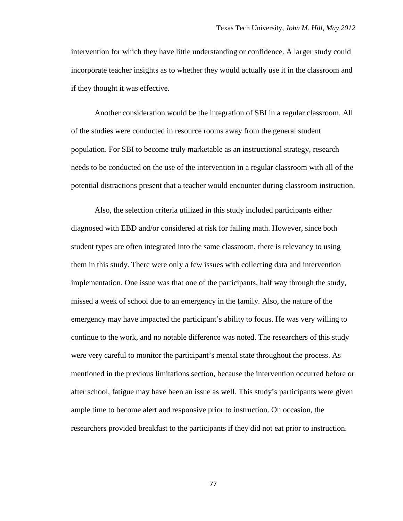intervention for which they have little understanding or confidence. A larger study could incorporate teacher insights as to whether they would actually use it in the classroom and if they thought it was effective.

Another consideration would be the integration of SBI in a regular classroom. All of the studies were conducted in resource rooms away from the general student population. For SBI to become truly marketable as an instructional strategy, research needs to be conducted on the use of the intervention in a regular classroom with all of the potential distractions present that a teacher would encounter during classroom instruction.

Also, the selection criteria utilized in this study included participants either diagnosed with EBD and/or considered at risk for failing math. However, since both student types are often integrated into the same classroom, there is relevancy to using them in this study. There were only a few issues with collecting data and intervention implementation. One issue was that one of the participants, half way through the study, missed a week of school due to an emergency in the family. Also, the nature of the emergency may have impacted the participant's ability to focus. He was very willing to continue to the work, and no notable difference was noted. The researchers of this study were very careful to monitor the participant's mental state throughout the process. As mentioned in the previous limitations section, because the intervention occurred before or after school, fatigue may have been an issue as well. This study's participants were given ample time to become alert and responsive prior to instruction. On occasion, the researchers provided breakfast to the participants if they did not eat prior to instruction.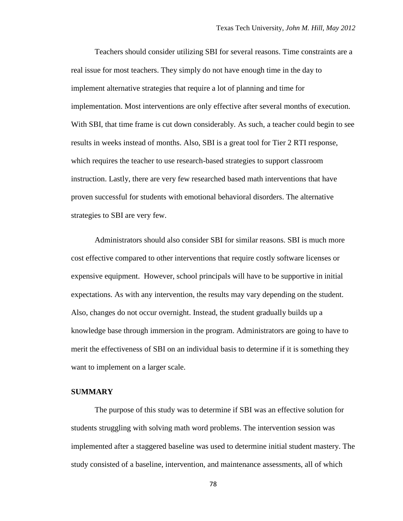Teachers should consider utilizing SBI for several reasons. Time constraints are a real issue for most teachers. They simply do not have enough time in the day to implement alternative strategies that require a lot of planning and time for implementation. Most interventions are only effective after several months of execution. With SBI, that time frame is cut down considerably. As such, a teacher could begin to see results in weeks instead of months. Also, SBI is a great tool for Tier 2 RTI response, which requires the teacher to use research-based strategies to support classroom instruction. Lastly, there are very few researched based math interventions that have proven successful for students with emotional behavioral disorders. The alternative strategies to SBI are very few.

Administrators should also consider SBI for similar reasons. SBI is much more cost effective compared to other interventions that require costly software licenses or expensive equipment. However, school principals will have to be supportive in initial expectations. As with any intervention, the results may vary depending on the student. Also, changes do not occur overnight. Instead, the student gradually builds up a knowledge base through immersion in the program. Administrators are going to have to merit the effectiveness of SBI on an individual basis to determine if it is something they want to implement on a larger scale.

# **SUMMARY**

The purpose of this study was to determine if SBI was an effective solution for students struggling with solving math word problems. The intervention session was implemented after a staggered baseline was used to determine initial student mastery. The study consisted of a baseline, intervention, and maintenance assessments, all of which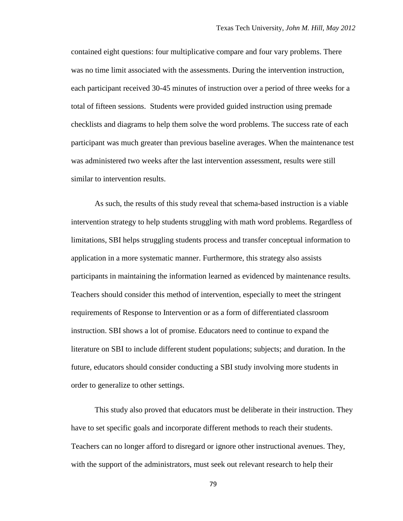contained eight questions: four multiplicative compare and four vary problems. There was no time limit associated with the assessments. During the intervention instruction, each participant received 30-45 minutes of instruction over a period of three weeks for a total of fifteen sessions. Students were provided guided instruction using premade checklists and diagrams to help them solve the word problems. The success rate of each participant was much greater than previous baseline averages. When the maintenance test was administered two weeks after the last intervention assessment, results were still similar to intervention results.

As such, the results of this study reveal that schema-based instruction is a viable intervention strategy to help students struggling with math word problems. Regardless of limitations, SBI helps struggling students process and transfer conceptual information to application in a more systematic manner. Furthermore, this strategy also assists participants in maintaining the information learned as evidenced by maintenance results. Teachers should consider this method of intervention, especially to meet the stringent requirements of Response to Intervention or as a form of differentiated classroom instruction. SBI shows a lot of promise. Educators need to continue to expand the literature on SBI to include different student populations; subjects; and duration. In the future, educators should consider conducting a SBI study involving more students in order to generalize to other settings.

This study also proved that educators must be deliberate in their instruction. They have to set specific goals and incorporate different methods to reach their students. Teachers can no longer afford to disregard or ignore other instructional avenues. They, with the support of the administrators, must seek out relevant research to help their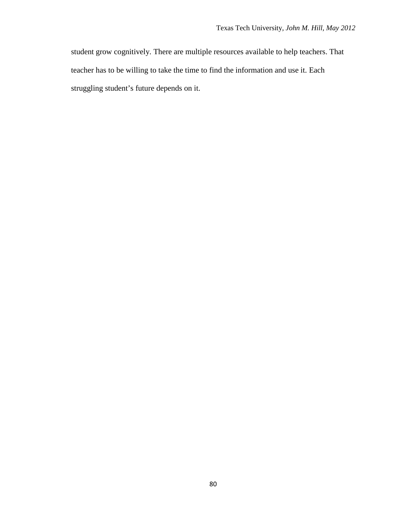student grow cognitively. There are multiple resources available to help teachers. That teacher has to be willing to take the time to find the information and use it. Each struggling student's future depends on it.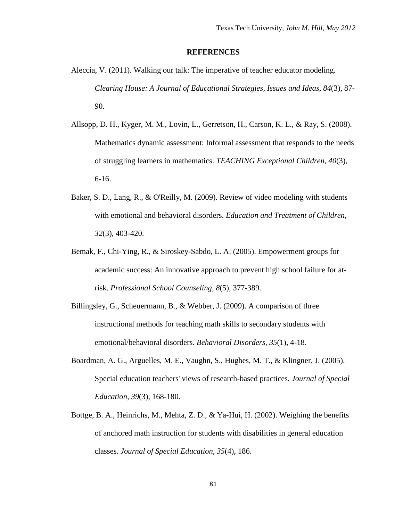#### **REFERENCES**

- Aleccia, V. (2011). Walking our talk: The imperative of teacher educator modeling. *Clearing House: A Journal of Educational Strategies, Issues and Ideas, 84*(3), 87- 90.
- Allsopp, D. H., Kyger, M. M., Lovin, L., Gerretson, H., Carson, K. L., & Ray, S. (2008). Mathematics dynamic assessment: Informal assessment that responds to the needs of struggling learners in mathematics. *TEACHING Exceptional Children, 40*(3), 6-16.
- Baker, S. D., Lang, R., & O'Reilly, M. (2009). Review of video modeling with students with emotional and behavioral disorders. *Education and Treatment of Children, 32*(3), 403-420.
- Bemak, F., Chi-Ying, R., & Siroskey-Sabdo, L. A. (2005). Empowerment groups for academic success: An innovative approach to prevent high school failure for atrisk. *Professional School Counseling, 8*(5), 377-389.
- Billingsley, G., Scheuermann, B., & Webber, J. (2009). A comparison of three instructional methods for teaching math skills to secondary students with emotional/behavioral disorders. *Behavioral Disorders, 35*(1), 4-18.
- Boardman, A. G., Arguelles, M. E., Vaughn, S., Hughes, M. T., & Klingner, J. (2005). Special education teachers' views of research-based practices. *Journal of Special Education, 39*(3), 168-180.
- Bottge, B. A., Heinrichs, M., Mehta, Z. D., & Ya-Hui, H. (2002). Weighing the benefits of anchored math instruction for students with disabilities in general education classes. *Journal of Special Education, 35*(4), 186.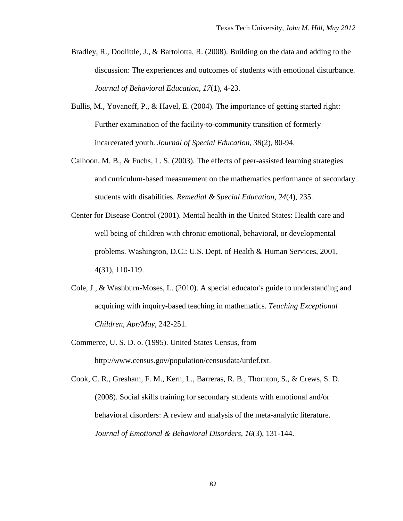- Bradley, R., Doolittle, J., & Bartolotta, R. (2008). Building on the data and adding to the discussion: The experiences and outcomes of students with emotional disturbance. *Journal of Behavioral Education, 17*(1), 4-23.
- Bullis, M., Yovanoff, P., & Havel, E. (2004). The importance of getting started right: Further examination of the facility-to-community transition of formerly incarcerated youth. *Journal of Special Education, 38*(2), 80-94.
- Calhoon, M. B., & Fuchs, L. S. (2003). The effects of peer-assisted learning strategies and curriculum-based measurement on the mathematics performance of secondary students with disabilities. *Remedial & Special Education, 24*(4), 235.
- Center for Disease Control (2001). Mental health in the United States: Health care and well being of children with chronic emotional, behavioral, or developmental problems. Washington, D.C.: U.S. Dept. of Health & Human Services, 2001, 4(31), 110-119.
- Cole, J., & Washburn-Moses, L. (2010). A special educator's guide to understanding and acquiring with inquiry-based teaching in mathematics. *Teaching Exceptional Children, Apr/May*, 242-251.
- Commerce, U. S. D. o. (1995). United States Census, from <http://www.census.gov/population/censusdata/urdef.txt>.

Cook, C. R., Gresham, F. M., Kern, L., Barreras, R. B., Thornton, S., & Crews, S. D. (2008). Social skills training for secondary students with emotional and/or behavioral disorders: A review and analysis of the meta-analytic literature. *Journal of Emotional & Behavioral Disorders, 16*(3), 131-144.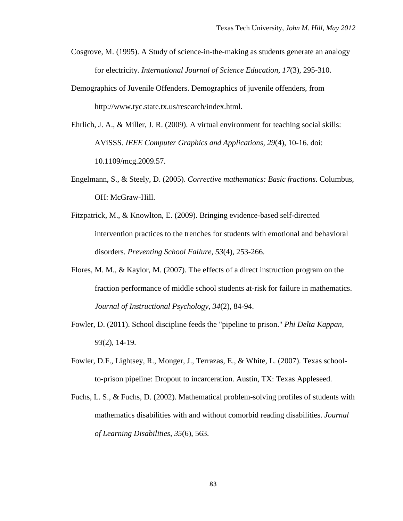- Cosgrove, M. (1995). A Study of science-in-the-making as students generate an analogy for electricity. *International Journal of Science Education, 17*(3), 295-310.
- Demographics of Juvenile Offenders. Demographics of juvenile offenders, from <http://www.tyc.state.tx.us/research/index.html>.
- Ehrlich, J. A., & Miller, J. R. (2009). A virtual environment for teaching social skills: AViSSS. *IEEE Computer Graphics and Applications, 29*(4), 10-16. doi: 10.1109/mcg.2009.57.
- Engelmann, S., & Steely, D. (2005). *Corrective mathematics: Basic fractions*. Columbus, OH: McGraw-Hill.
- Fitzpatrick, M., & Knowlton, E. (2009). Bringing evidence-based self-directed intervention practices to the trenches for students with emotional and behavioral disorders. *Preventing School Failure, 53*(4), 253-266.
- Flores, M. M., & Kaylor, M. (2007). The effects of a direct instruction program on the fraction performance of middle school students at-risk for failure in mathematics. *Journal of Instructional Psychology, 34*(2), 84-94.
- Fowler, D. (2011). School discipline feeds the "pipeline to prison." *Phi Delta Kappan, 93*(2), 14-19.
- Fowler, D.F., Lightsey, R., Monger, J., Terrazas, E., & White, L. (2007). Texas schoolto-prison pipeline: Dropout to incarceration. Austin, TX: Texas Appleseed.
- Fuchs, L. S., & Fuchs, D. (2002). Mathematical problem-solving profiles of students with mathematics disabilities with and without comorbid reading disabilities. *Journal of Learning Disabilities, 35*(6), 563.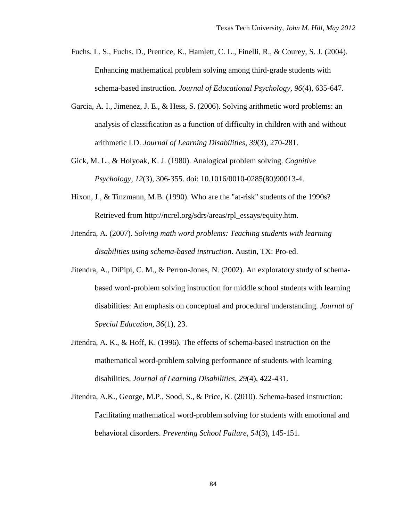- Fuchs, L. S., Fuchs, D., Prentice, K., Hamlett, C. L., Finelli, R., & Courey, S. J. (2004). Enhancing mathematical problem solving among third-grade students with schema-based instruction. *Journal of Educational Psychology, 96*(4), 635-647.
- Garcia, A. I., Jimenez, J. E., & Hess, S. (2006). Solving arithmetic word problems: an analysis of classification as a function of difficulty in children with and without arithmetic LD. *Journal of Learning Disabilities, 39*(3), 270-281.
- Gick, M. L., & Holyoak, K. J. (1980). Analogical problem solving. *Cognitive Psychology, 12*(3), 306-355. doi: 10.1016/0010-0285(80)90013-4.
- Hixon, J., & Tinzmann, M.B. (1990). Who are the "at-risk" students of the 1990s? Retrieved from [http://ncrel.org/sdrs/areas/rpl\\_essays/equity.htm.](http://ncrel.org/sdrs/areas/rpl_essays/equity.htm)
- Jitendra, A. (2007). *Solving math word problems: Teaching students with learning disabilities using schema-based instruction*. Austin, TX: Pro-ed.
- Jitendra, A., DiPipi, C. M., & Perron-Jones, N. (2002). An exploratory study of schemabased word-problem solving instruction for middle school students with learning disabilities: An emphasis on conceptual and procedural understanding. *Journal of Special Education, 36*(1), 23.
- Jitendra, A. K., & Hoff, K. (1996). The effects of schema-based instruction on the mathematical word-problem solving performance of students with learning disabilities. *Journal of Learning Disabilities, 29*(4), 422-431.
- Jitendra, A.K., George, M.P., Sood, S., & Price, K. (2010). Schema-based instruction: Facilitating mathematical word-problem solving for students with emotional and behavioral disorders. *Preventing School Failure, 54*(3), 145-151.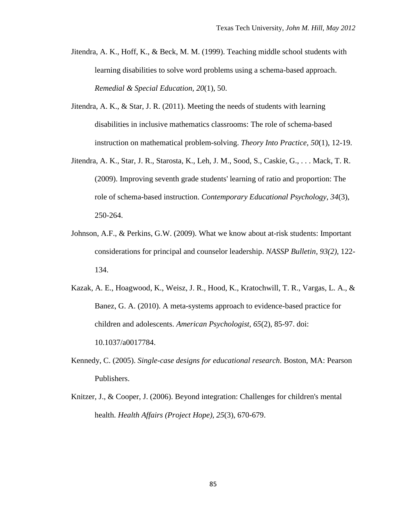- Jitendra, A. K., Hoff, K., & Beck, M. M. (1999). Teaching middle school students with learning disabilities to solve word problems using a schema-based approach. *Remedial & Special Education, 20*(1), 50.
- Jitendra, A. K., & Star, J. R. (2011). Meeting the needs of students with learning disabilities in inclusive mathematics classrooms: The role of schema-based instruction on mathematical problem-solving. *Theory Into Practice, 50*(1), 12-19.
- Jitendra, A. K., Star, J. R., Starosta, K., Leh, J. M., Sood, S., Caskie, G., . . . Mack, T. R. (2009). Improving seventh grade students' learning of ratio and proportion: The role of schema-based instruction. *Contemporary Educational Psychology, 34*(3), 250-264.
- Johnson, A.F., & Perkins, G.W. (2009). What we know about at-risk students: Important considerations for principal and counselor leadership. *NASSP Bulletin, 93(2),* 122- 134.
- Kazak, A. E., Hoagwood, K., Weisz, J. R., Hood, K., Kratochwill, T. R., Vargas, L. A., & Banez, G. A. (2010). A meta-systems approach to evidence-based practice for children and adolescents. *American Psychologist, 65*(2), 85-97. doi: 10.1037/a0017784.
- Kennedy, C. (2005). *Single-case designs for educational research*. Boston, MA: Pearson Publishers.
- Knitzer, J., & Cooper, J. (2006). Beyond integration: Challenges for children's mental health. *Health Affairs (Project Hope), 25*(3), 670-679.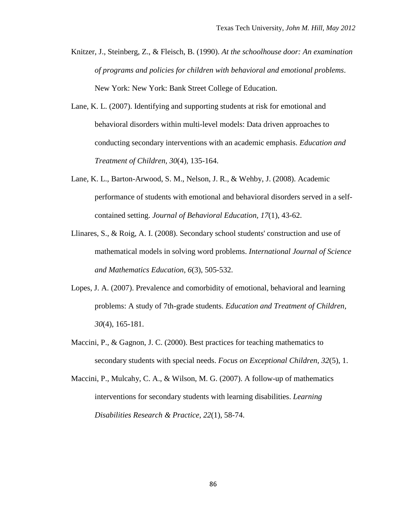- Knitzer, J., Steinberg, Z., & Fleisch, B. (1990). *At the schoolhouse door: An examination of programs and policies for children with behavioral and emotional problems*. New York: New York: Bank Street College of Education.
- Lane, K. L. (2007). Identifying and supporting students at risk for emotional and behavioral disorders within multi-level models: Data driven approaches to conducting secondary interventions with an academic emphasis. *Education and Treatment of Children, 30*(4), 135-164.
- Lane, K. L., Barton-Arwood, S. M., Nelson, J. R., & Wehby, J. (2008). Academic performance of students with emotional and behavioral disorders served in a selfcontained setting. *Journal of Behavioral Education, 17*(1), 43-62.
- Llinares, S., & Roig, A. I. (2008). Secondary school students' construction and use of mathematical models in solving word problems. *International Journal of Science and Mathematics Education, 6*(3), 505-532.
- Lopes, J. A. (2007). Prevalence and comorbidity of emotional, behavioral and learning problems: A study of 7th-grade students. *Education and Treatment of Children, 30*(4), 165-181.
- Maccini, P., & Gagnon, J. C. (2000). Best practices for teaching mathematics to secondary students with special needs. *Focus on Exceptional Children, 32*(5), 1.
- Maccini, P., Mulcahy, C. A., & Wilson, M. G. (2007). A follow-up of mathematics interventions for secondary students with learning disabilities. *Learning Disabilities Research & Practice, 22*(1), 58-74.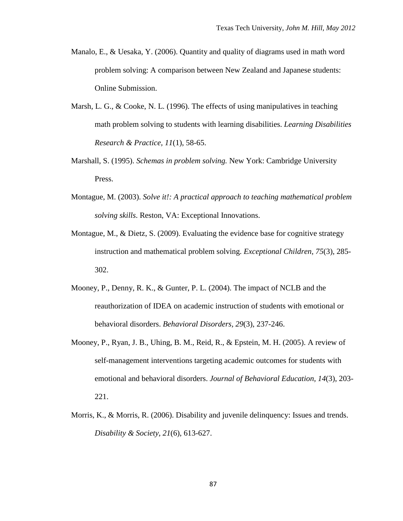- Manalo, E., & Uesaka, Y. (2006). Quantity and quality of diagrams used in math word problem solving: A comparison between New Zealand and Japanese students: Online Submission.
- Marsh, L. G., & Cooke, N. L. (1996). The effects of using manipulatives in teaching math problem solving to students with learning disabilities. *Learning Disabilities Research & Practice, 11*(1), 58-65.
- Marshall, S. (1995). *Schemas in problem solving.* New York: Cambridge University Press.
- Montague, M. (2003). *Solve it!: A practical approach to teaching mathematical problem solving skills*. Reston, VA: Exceptional Innovations.
- Montague, M., & Dietz, S. (2009). Evaluating the evidence base for cognitive strategy instruction and mathematical problem solving. *Exceptional Children, 75*(3), 285- 302.
- Mooney, P., Denny, R. K., & Gunter, P. L. (2004). The impact of NCLB and the reauthorization of IDEA on academic instruction of students with emotional or behavioral disorders. *Behavioral Disorders, 29*(3), 237-246.
- Mooney, P., Ryan, J. B., Uhing, B. M., Reid, R., & Epstein, M. H. (2005). A review of self-management interventions targeting academic outcomes for students with emotional and behavioral disorders. *Journal of Behavioral Education, 14*(3), 203- 221.
- Morris, K., & Morris, R. (2006). Disability and juvenile delinquency: Issues and trends. *Disability & Society, 21*(6), 613-627.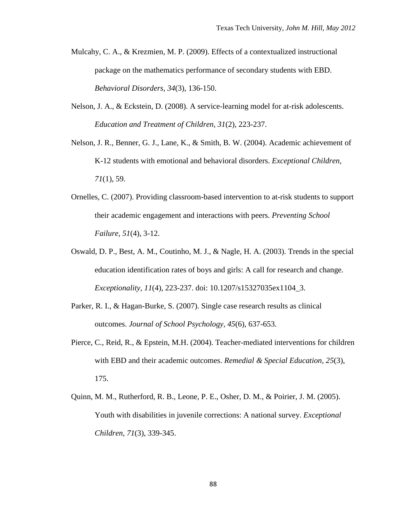- Mulcahy, C. A., & Krezmien, M. P. (2009). Effects of a contextualized instructional package on the mathematics performance of secondary students with EBD. *Behavioral Disorders, 34*(3), 136-150.
- Nelson, J. A., & Eckstein, D. (2008). A service-learning model for at-risk adolescents. *Education and Treatment of Children, 31*(2), 223-237.
- Nelson, J. R., Benner, G. J., Lane, K., & Smith, B. W. (2004). Academic achievement of K-12 students with emotional and behavioral disorders. *Exceptional Children, 71*(1), 59.
- Ornelles, C. (2007). Providing classroom-based intervention to at-risk students to support their academic engagement and interactions with peers. *Preventing School Failure, 51*(4), 3-12.
- Oswald, D. P., Best, A. M., Coutinho, M. J., & Nagle, H. A. (2003). Trends in the special education identification rates of boys and girls: A call for research and change. *Exceptionality, 11*(4), 223-237. doi: 10.1207/s15327035ex1104\_3.
- Parker, R. I., & Hagan-Burke, S. (2007). Single case research results as clinical outcomes. *Journal of School Psychology, 45*(6), 637-653.
- Pierce, C., Reid, R., & Epstein, M.H. (2004). Teacher-mediated interventions for children with EBD and their academic outcomes. *Remedial & Special Education, 25*(3), 175.
- Quinn, M. M., Rutherford, R. B., Leone, P. E., Osher, D. M., & Poirier, J. M. (2005). Youth with disabilities in juvenile corrections: A national survey. *Exceptional Children, 71*(3), 339-345.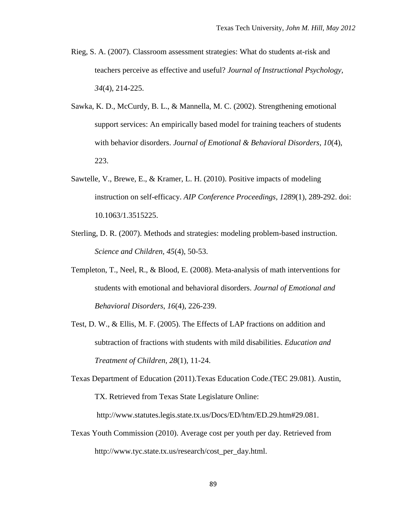- Rieg, S. A. (2007). Classroom assessment strategies: What do students at-risk and teachers perceive as effective and useful? *Journal of Instructional Psychology, 34*(4), 214-225.
- Sawka, K. D., McCurdy, B. L., & Mannella, M. C. (2002). Strengthening emotional support services: An empirically based model for training teachers of students with behavior disorders. *Journal of Emotional & Behavioral Disorders, 10*(4), 223.
- Sawtelle, V., Brewe, E., & Kramer, L. H. (2010). Positive impacts of modeling instruction on self-efficacy. *AIP Conference Proceedings, 1289*(1), 289-292. doi: 10.1063/1.3515225.
- Sterling, D. R. (2007). Methods and strategies: modeling problem-based instruction. *Science and Children, 45*(4), 50-53.
- Templeton, T., Neel, R., & Blood, E. (2008). Meta-analysis of math interventions for students with emotional and behavioral disorders. *Journal of Emotional and Behavioral Disorders*, *16*(4), 226-239.
- Test, D. W., & Ellis, M. F. (2005). The Effects of LAP fractions on addition and subtraction of fractions with students with mild disabilities. *Education and Treatment of Children, 28*(1), 11-24.

Texas Department of Education (2011).Texas Education Code.(TEC 29.081). Austin, TX. Retrieved from Texas State Legislature Online:

http://www.statutes.legis.state.tx.us/Docs/ED/htm/ED.29.htm#29.081.

Texas Youth Commission (2010). Average cost per youth per day. Retrieved from http://www.tyc.state.tx.us/research/cost\_per\_day.html.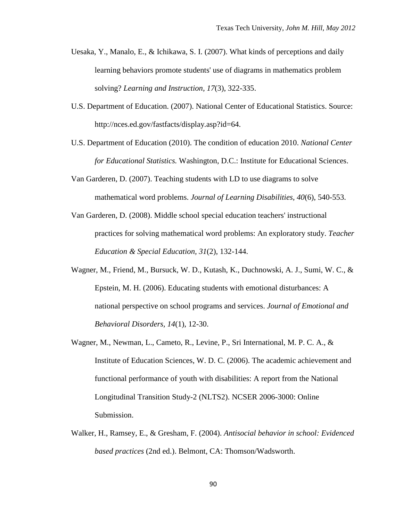- Uesaka, Y., Manalo, E., & Ichikawa, S. I. (2007). What kinds of perceptions and daily learning behaviors promote students' use of diagrams in mathematics problem solving? *Learning and Instruction, 17*(3), 322-335.
- U.S. Department of Education. (2007). National Center of Educational Statistics. Source: [http://nces.ed.gov/fastfacts/display.asp?id=64.](http://nces.ed.gov/fastfacts/display.asp?id=64)
- U.S. Department of Education (2010). The condition of education 2010. *National Center for Educational Statistics.* Washington, D.C.: Institute for Educational Sciences.
- Van Garderen, D. (2007). Teaching students with LD to use diagrams to solve mathematical word problems. *Journal of Learning Disabilities, 40*(6), 540-553.
- Van Garderen, D. (2008). Middle school special education teachers' instructional practices for solving mathematical word problems: An exploratory study. *Teacher Education & Special Education, 31*(2), 132-144.
- Wagner, M., Friend, M., Bursuck, W. D., Kutash, K., Duchnowski, A. J., Sumi, W. C., & Epstein, M. H. (2006). Educating students with emotional disturbances: A national perspective on school programs and services. *Journal of Emotional and Behavioral Disorders, 14*(1), 12-30.
- Wagner, M., Newman, L., Cameto, R., Levine, P., Sri International, M. P. C. A., & Institute of Education Sciences, W. D. C. (2006). The academic achievement and functional performance of youth with disabilities: A report from the National Longitudinal Transition Study-2 (NLTS2). NCSER 2006-3000: Online Submission.
- Walker, H., Ramsey, E., & Gresham, F. (2004). *Antisocial behavior in school: Evidenced based practices* (2nd ed.). Belmont, CA: Thomson/Wadsworth.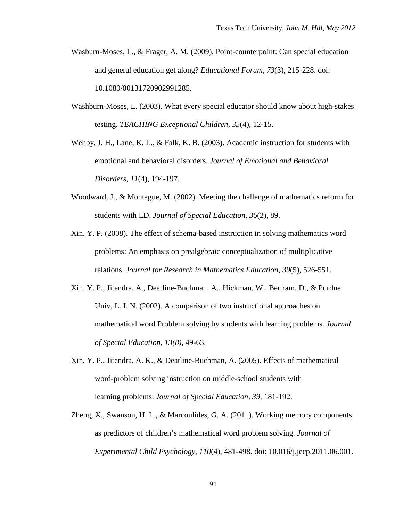- Wasburn-Moses, L., & Frager, A. M. (2009). Point-counterpoint: Can special education and general education get along? *Educational Forum, 73*(3), 215-228. doi: 10.1080/00131720902991285.
- Washburn-Moses, L. (2003). What every special educator should know about high-stakes testing. *TEACHING Exceptional Children, 35*(4), 12-15.
- Wehby, J. H., Lane, K. L., & Falk, K. B. (2003). Academic instruction for students with emotional and behavioral disorders. *Journal of Emotional and Behavioral Disorders, 11*(4), 194-197.
- Woodward, J., & Montague, M. (2002). Meeting the challenge of mathematics reform for students with LD. *Journal of Special Education, 36*(2), 89.
- Xin, Y. P. (2008). The effect of schema-based instruction in solving mathematics word problems: An emphasis on prealgebraic conceptualization of multiplicative relations. *Journal for Research in Mathematics Education, 39*(5), 526-551.
- Xin, Y. P., Jitendra, A., Deatline-Buchman, A., Hickman, W., Bertram, D., & Purdue Univ, L. I. N. (2002). A comparison of two instructional approaches on mathematical word Problem solving by students with learning problems. *Journal of Special Education, 13(8),* 49-63.
- Xin, Y. P., Jitendra, A. K., & Deatline-Buchman, A. (2005). Effects of mathematical word-problem solving instruction on middle-school students with learning problems. *Journal of Special Education, 39*, 181-192.
- Zheng, X., Swanson, H. L., & Marcoulides, G. A. (2011). Working memory components as predictors of children's mathematical word problem solving. *Journal of Experimental Child Psychology, 110*(4), 481-498. doi: 10.016/j.jecp.2011.06.001.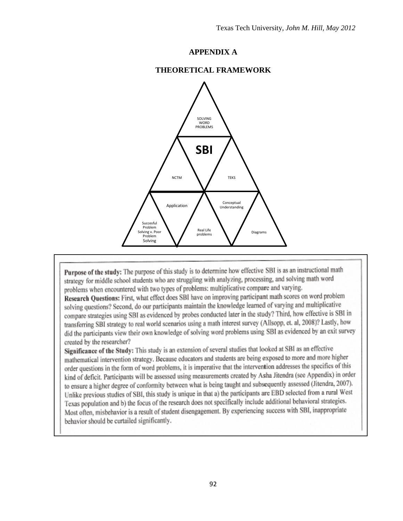# **APPENDIX A**

# **THEORETICAL FRAMEWORK**



Purpose of the study: The purpose of this study is to determine how effective SBI is as an instructional math strategy for middle school students who are struggling with analyzing, processing, and solving math word problems when encountered with two types of problems: multiplicative compare and varying.

Research Questions: First, what effect does SBI have on improving participant math scores on word problem solving questions? Second, do our participants maintain the knowledge learned of varying and multiplicative compare strategies using SBI as evidenced by probes conducted later in the study? Third, how effective is SBI in transferring SBI strategy to real world scenarios using a math interest survey (Allsopp, et. al, 2008)? Lastly, how did the participants view their own knowledge of solving word problems using SBI as evidenced by an exit survey created by the researcher?

Significance of the Study: This study is an extension of several studies that looked at SBI as an effective mathematical intervention strategy. Because educators and students are being exposed to more and more higher order questions in the form of word problems, it is imperative that the intervention addresses the specifics of this kind of deficit. Participants will be assessed using measurements created by Asha Jitendra (see Appendix) in order to ensure a higher degree of conformity between what is being taught and subsequently assessed (Jitendra, 2007). Unlike previous studies of SBI, this study is unique in that a) the participants are EBD selected from a rural West Texas population and b) the focus of the research does not specifically include additional behavioral strategies. Most often, misbehavior is a result of student disengagement. By experiencing success with SBI, inappropriate behavior should be curtailed significantly.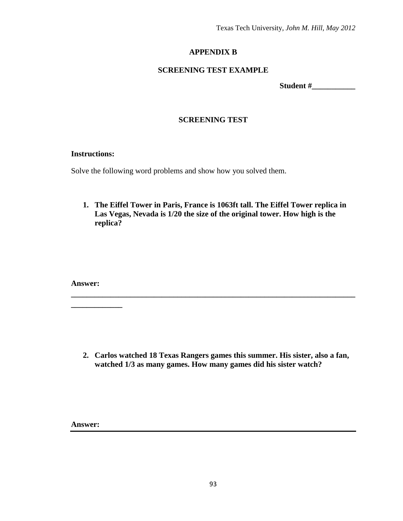Texas Tech University, *John M. Hill, May 2012*

# **APPENDIX B**

# **SCREENING TEST EXAMPLE**

**Student #\_\_\_\_\_\_\_\_\_\_\_**

# **SCREENING TEST**

# **Instructions:**

Solve the following word problems and show how you solved them.

**1. The Eiffel Tower in Paris, France is 1063ft tall. The Eiffel Tower replica in Las Vegas, Nevada is 1/20 the size of the original tower. How high is the replica?**

**Answer:** 

**\_\_\_\_\_\_\_\_\_\_\_\_\_**

**2. Carlos watched 18 Texas Rangers games this summer. His sister, also a fan, watched 1/3 as many games. How many games did his sister watch?**

**\_\_\_\_\_\_\_\_\_\_\_\_\_\_\_\_\_\_\_\_\_\_\_\_\_\_\_\_\_\_\_\_\_\_\_\_\_\_\_\_\_\_\_\_\_\_\_\_\_\_\_\_\_\_\_\_\_\_\_\_\_\_\_\_\_\_\_\_\_\_\_\_**

**Answer:**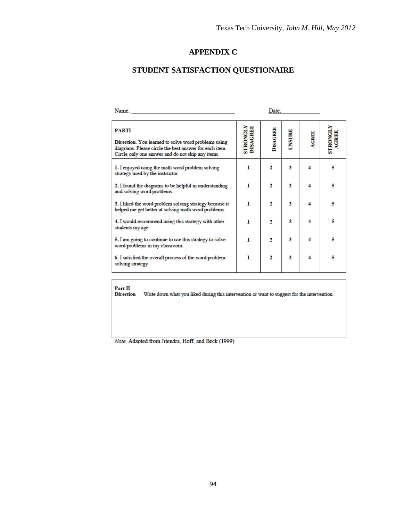# **APPENDIX C**

# **STUDENT SATISFACTION QUESTIONAIRE**

| Name:                                                                                                                                                                             | Date:                       |                 |               |              |                                |
|-----------------------------------------------------------------------------------------------------------------------------------------------------------------------------------|-----------------------------|-----------------|---------------|--------------|--------------------------------|
| <b>PARTI</b><br>Direction. You learned to solve word problems using<br>diagrams. Please circle the best answer for each item.<br>Circle only one answer and do not skip any items | <b>STRONGLY</b><br>DISAGREE | <b>DISAGREE</b> | <b>UNSURE</b> | <b>AGREE</b> | <b>STRONGLY</b><br><b>GREE</b> |
| 1. I enjoyed using the math word problem solving<br>strategy used by the instructor.                                                                                              | ı                           | 2               | з             | 4            | 5                              |
| 2. I found the diagrams to be helpful in understanding<br>and solving word problems.                                                                                              | ı                           | 2               | З             | 4            | 5                              |
| 3. I liked the word problem solving strategy because it<br>helped me get better at solving math word problems.                                                                    | ı                           | $\mathbf{2}$    | 3             | 4            | 5                              |
| 4. I would recommend using this strategy with other<br>students my age.                                                                                                           | 1                           | $\overline{2}$  | З             | 4            | 5                              |
| 5. I am going to continue to use this strategy to solve<br>word problems in my classroom.                                                                                         | ı                           | 2               | З             | 4            | 5                              |
| 6. I satisfied the overall process of the word problem<br>solving strategy                                                                                                        | ı                           | $\overline{2}$  | 3             | 4            | 5                              |

 $Part II$ <br>Direction Write down what you liked during this intervention or want to suggest for the intervention.

Note. Adapted from Jitendra, Hoff, and Beck (1999)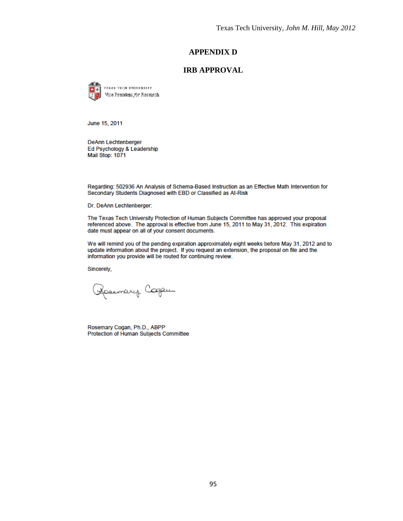# **APPENDIX D**

# **IRB APPROVAL**

TEXAS TECH UNIVERSITY Vice President for Research

June 15, 2011

**DeAnn Lechtenberger** Ed Psychology & Leadership Mail Stop: 1071

Regarding: 502936 An Analysis of Schema-Based Instruction as an Effective Math Intervention for Secondary Students Diagnosed with EBD or Classified as At-Risk

Dr. DeAnn Lechtenberger:

The Texas Tech University Protection of Human Subjects Committee has approved your proposal referenced above. The approval is effective from June 15, 2011 to May 31, 2012. This expiration date must appear on all of your consent documents.

We will remind you of the pending expiration approximately eight weeks before May 31, 2012 and to update information about the project. If you request an extension, the proposal on file and the information you provide will be routed for continuing review.

Sincerely,

Rosemary Cooper

Rosemary Cogan, Ph.D., ABPP Protection of Human Subjects Committee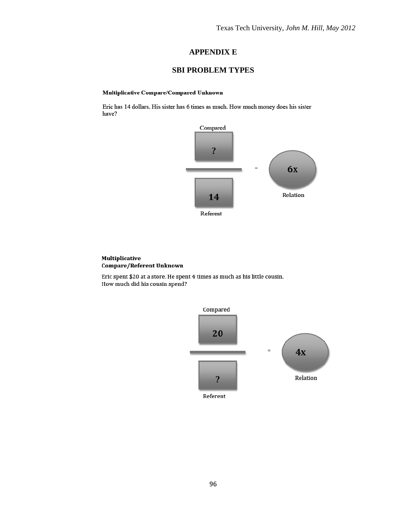# **APPENDIX E**

# **SBI PROBLEM TYPES**

#### **Multiplicative Compare/Compared Unknown**

Eric has 14 dollars. His sister has 6 times as much. How much money does his sister have?



#### Multiplicative Compare/Referent Unknown

Eric spent \$20 at a store. He spent 4 times as much as his little cousin. How much did his cousin spend?

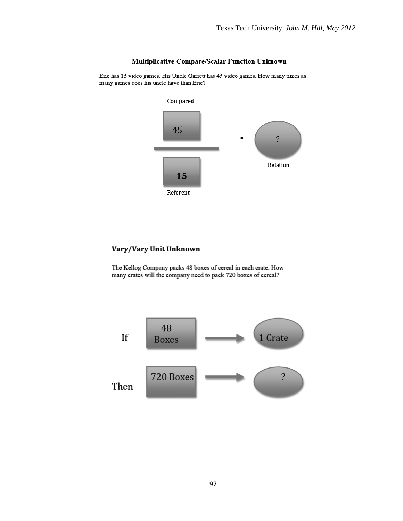## **Multiplicative Compare/Scalar Function Unknown**

Eric has 15 video games. His Uncle Garrett has 45 video games. How many times as many games does his uncle have than Eric?



## Vary/Vary Unit Unknown

The Kellog Company packs 48 boxes of cereal in each crate. How many crates will the company need to pack 720 boxes of cereal?